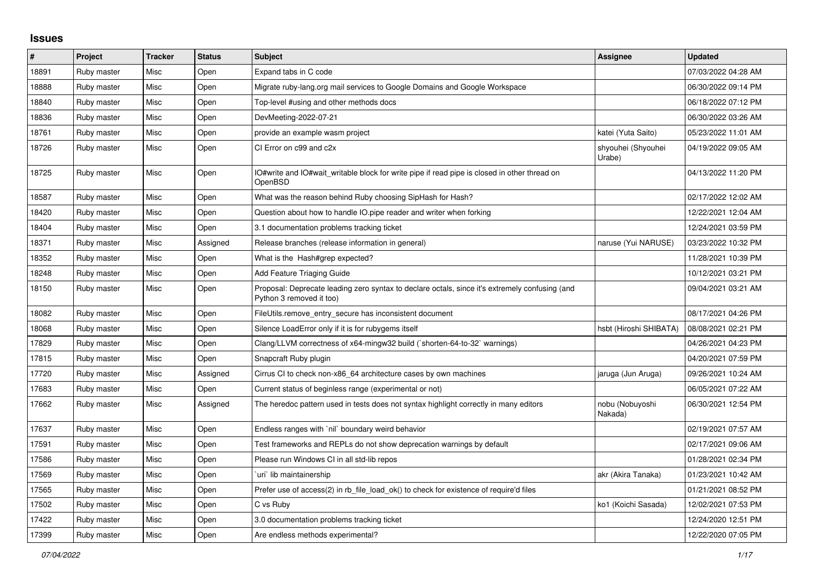## **Issues**

| $\pmb{\sharp}$ | Project     | <b>Tracker</b> | <b>Status</b> | <b>Subject</b>                                                                                                             | Assignee                     | <b>Updated</b>      |
|----------------|-------------|----------------|---------------|----------------------------------------------------------------------------------------------------------------------------|------------------------------|---------------------|
| 18891          | Ruby master | Misc           | Open          | Expand tabs in C code                                                                                                      |                              | 07/03/2022 04:28 AM |
| 18888          | Ruby master | Misc           | Open          | Migrate ruby-lang.org mail services to Google Domains and Google Workspace                                                 |                              | 06/30/2022 09:14 PM |
| 18840          | Ruby master | Misc           | Open          | Top-level #using and other methods docs                                                                                    |                              | 06/18/2022 07:12 PM |
| 18836          | Ruby master | Misc           | Open          | DevMeeting-2022-07-21                                                                                                      |                              | 06/30/2022 03:26 AM |
| 18761          | Ruby master | Misc           | Open          | provide an example wasm project                                                                                            | katei (Yuta Saito)           | 05/23/2022 11:01 AM |
| 18726          | Ruby master | Misc           | Open          | CI Error on c99 and c2x                                                                                                    | shyouhei (Shyouhei<br>Urabe) | 04/19/2022 09:05 AM |
| 18725          | Ruby master | Misc           | Open          | IO#write and IO#wait writable block for write pipe if read pipe is closed in other thread on<br>OpenBSD                    |                              | 04/13/2022 11:20 PM |
| 18587          | Ruby master | Misc           | Open          | What was the reason behind Ruby choosing SipHash for Hash?                                                                 |                              | 02/17/2022 12:02 AM |
| 18420          | Ruby master | Misc           | Open          | Question about how to handle IO.pipe reader and writer when forking                                                        |                              | 12/22/2021 12:04 AM |
| 18404          | Ruby master | Misc           | Open          | 3.1 documentation problems tracking ticket                                                                                 |                              | 12/24/2021 03:59 PM |
| 18371          | Ruby master | Misc           | Assigned      | Release branches (release information in general)                                                                          | naruse (Yui NARUSE)          | 03/23/2022 10:32 PM |
| 18352          | Ruby master | Misc           | Open          | What is the Hash#grep expected?                                                                                            |                              | 11/28/2021 10:39 PM |
| 18248          | Ruby master | Misc           | Open          | Add Feature Triaging Guide                                                                                                 |                              | 10/12/2021 03:21 PM |
| 18150          | Ruby master | Misc           | Open          | Proposal: Deprecate leading zero syntax to declare octals, since it's extremely confusing (and<br>Python 3 removed it too) |                              | 09/04/2021 03:21 AM |
| 18082          | Ruby master | Misc           | Open          | FileUtils.remove_entry_secure has inconsistent document                                                                    |                              | 08/17/2021 04:26 PM |
| 18068          | Ruby master | Misc           | Open          | Silence LoadError only if it is for rubygems itself                                                                        | hsbt (Hiroshi SHIBATA)       | 08/08/2021 02:21 PM |
| 17829          | Ruby master | Misc           | Open          | Clang/LLVM correctness of x64-mingw32 build (`shorten-64-to-32` warnings)                                                  |                              | 04/26/2021 04:23 PM |
| 17815          | Ruby master | Misc           | Open          | Snapcraft Ruby plugin                                                                                                      |                              | 04/20/2021 07:59 PM |
| 17720          | Ruby master | Misc           | Assigned      | Cirrus CI to check non-x86 64 architecture cases by own machines                                                           | jaruga (Jun Aruga)           | 09/26/2021 10:24 AM |
| 17683          | Ruby master | Misc           | Open          | Current status of beginless range (experimental or not)                                                                    |                              | 06/05/2021 07:22 AM |
| 17662          | Ruby master | Misc           | Assigned      | The heredoc pattern used in tests does not syntax highlight correctly in many editors                                      | nobu (Nobuyoshi<br>Nakada)   | 06/30/2021 12:54 PM |
| 17637          | Ruby master | Misc           | Open          | Endless ranges with `nil` boundary weird behavior                                                                          |                              | 02/19/2021 07:57 AM |
| 17591          | Ruby master | Misc           | Open          | Test frameworks and REPLs do not show deprecation warnings by default                                                      |                              | 02/17/2021 09:06 AM |
| 17586          | Ruby master | Misc           | Open          | Please run Windows CI in all std-lib repos                                                                                 |                              | 01/28/2021 02:34 PM |
| 17569          | Ruby master | Misc           | Open          | uri` lib maintainership                                                                                                    | akr (Akira Tanaka)           | 01/23/2021 10:42 AM |
| 17565          | Ruby master | Misc           | Open          | Prefer use of access(2) in rb file load ok() to check for existence of require'd files                                     |                              | 01/21/2021 08:52 PM |
| 17502          | Ruby master | Misc           | Open          | C vs Ruby                                                                                                                  | ko1 (Koichi Sasada)          | 12/02/2021 07:53 PM |
| 17422          | Ruby master | Misc           | Open          | 3.0 documentation problems tracking ticket                                                                                 |                              | 12/24/2020 12:51 PM |
| 17399          | Ruby master | Misc           | Open          | Are endless methods experimental?                                                                                          |                              | 12/22/2020 07:05 PM |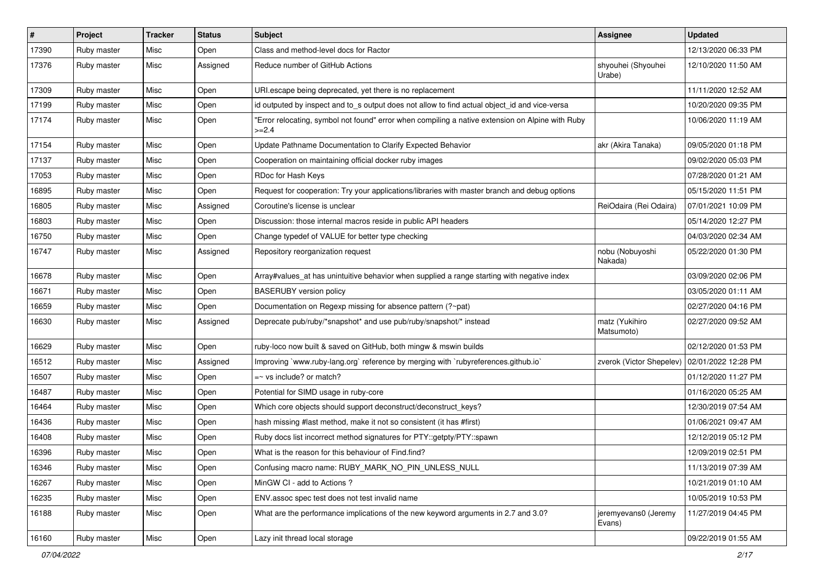| $\vert$ # | Project     | <b>Tracker</b> | <b>Status</b> | <b>Subject</b>                                                                                              | <b>Assignee</b>                | <b>Updated</b>      |
|-----------|-------------|----------------|---------------|-------------------------------------------------------------------------------------------------------------|--------------------------------|---------------------|
| 17390     | Ruby master | Misc           | Open          | Class and method-level docs for Ractor                                                                      |                                | 12/13/2020 06:33 PM |
| 17376     | Ruby master | Misc           | Assigned      | Reduce number of GitHub Actions                                                                             | shyouhei (Shyouhei<br>Urabe)   | 12/10/2020 11:50 AM |
| 17309     | Ruby master | Misc           | Open          | URI.escape being deprecated, yet there is no replacement                                                    |                                | 11/11/2020 12:52 AM |
| 17199     | Ruby master | Misc           | Open          | id outputed by inspect and to_s output does not allow to find actual object_id and vice-versa               |                                | 10/20/2020 09:35 PM |
| 17174     | Ruby master | Misc           | Open          | "Error relocating, symbol not found" error when compiling a native extension on Alpine with Ruby<br>$>=2.4$ |                                | 10/06/2020 11:19 AM |
| 17154     | Ruby master | Misc           | Open          | Update Pathname Documentation to Clarify Expected Behavior                                                  | akr (Akira Tanaka)             | 09/05/2020 01:18 PM |
| 17137     | Ruby master | Misc           | Open          | Cooperation on maintaining official docker ruby images                                                      |                                | 09/02/2020 05:03 PM |
| 17053     | Ruby master | Misc           | Open          | RDoc for Hash Keys                                                                                          |                                | 07/28/2020 01:21 AM |
| 16895     | Ruby master | Misc           | Open          | Request for cooperation: Try your applications/libraries with master branch and debug options               |                                | 05/15/2020 11:51 PM |
| 16805     | Ruby master | Misc           | Assigned      | Coroutine's license is unclear                                                                              | ReiOdaira (Rei Odaira)         | 07/01/2021 10:09 PM |
| 16803     | Ruby master | Misc           | Open          | Discussion: those internal macros reside in public API headers                                              |                                | 05/14/2020 12:27 PM |
| 16750     | Ruby master | Misc           | Open          | Change typedef of VALUE for better type checking                                                            |                                | 04/03/2020 02:34 AM |
| 16747     | Ruby master | Misc           | Assigned      | Repository reorganization request                                                                           | nobu (Nobuyoshi<br>Nakada)     | 05/22/2020 01:30 PM |
| 16678     | Ruby master | Misc           | Open          | Array#values_at has unintuitive behavior when supplied a range starting with negative index                 |                                | 03/09/2020 02:06 PM |
| 16671     | Ruby master | Misc           | Open          | <b>BASERUBY</b> version policy                                                                              |                                | 03/05/2020 01:11 AM |
| 16659     | Ruby master | Misc           | Open          | Documentation on Regexp missing for absence pattern (?~pat)                                                 |                                | 02/27/2020 04:16 PM |
| 16630     | Ruby master | Misc           | Assigned      | Deprecate pub/ruby/*snapshot* and use pub/ruby/snapshot/* instead                                           | matz (Yukihiro<br>Matsumoto)   | 02/27/2020 09:52 AM |
| 16629     | Ruby master | Misc           | Open          | ruby-loco now built & saved on GitHub, both mingw & mswin builds                                            |                                | 02/12/2020 01:53 PM |
| 16512     | Ruby master | Misc           | Assigned      | Improving `www.ruby-lang.org` reference by merging with `rubyreferences.github.io`                          | zverok (Victor Shepelev)       | 02/01/2022 12:28 PM |
| 16507     | Ruby master | Misc           | Open          | $=$ vs include? or match?                                                                                   |                                | 01/12/2020 11:27 PM |
| 16487     | Ruby master | Misc           | Open          | Potential for SIMD usage in ruby-core                                                                       |                                | 01/16/2020 05:25 AM |
| 16464     | Ruby master | Misc           | Open          | Which core objects should support deconstruct/deconstruct_keys?                                             |                                | 12/30/2019 07:54 AM |
| 16436     | Ruby master | Misc           | Open          | hash missing #last method, make it not so consistent (it has #first)                                        |                                | 01/06/2021 09:47 AM |
| 16408     | Ruby master | Misc           | Open          | Ruby docs list incorrect method signatures for PTY::getpty/PTY::spawn                                       |                                | 12/12/2019 05:12 PM |
| 16396     | Ruby master | Misc           | Open          | What is the reason for this behaviour of Find.find?                                                         |                                | 12/09/2019 02:51 PM |
| 16346     | Ruby master | Misc           | Open          | Confusing macro name: RUBY_MARK_NO_PIN_UNLESS_NULL                                                          |                                | 11/13/2019 07:39 AM |
| 16267     | Ruby master | Misc           | Open          | MinGW CI - add to Actions ?                                                                                 |                                | 10/21/2019 01:10 AM |
| 16235     | Ruby master | Misc           | Open          | ENV assoc spec test does not test invalid name                                                              |                                | 10/05/2019 10:53 PM |
| 16188     | Ruby master | Misc           | Open          | What are the performance implications of the new keyword arguments in 2.7 and 3.0?                          | jeremyevans0 (Jeremy<br>Evans) | 11/27/2019 04:45 PM |
| 16160     | Ruby master | Misc           | Open          | Lazy init thread local storage                                                                              |                                | 09/22/2019 01:55 AM |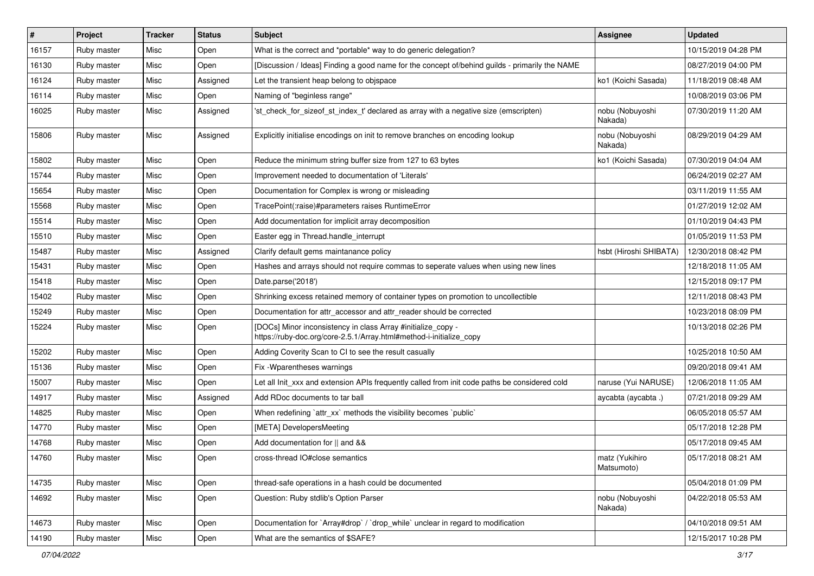| $\vert$ # | Project     | <b>Tracker</b> | <b>Status</b> | Subject                                                                                                                             | Assignee                     | <b>Updated</b>      |
|-----------|-------------|----------------|---------------|-------------------------------------------------------------------------------------------------------------------------------------|------------------------------|---------------------|
| 16157     | Ruby master | Misc           | Open          | What is the correct and *portable* way to do generic delegation?                                                                    |                              | 10/15/2019 04:28 PM |
| 16130     | Ruby master | Misc           | Open          | [Discussion / Ideas] Finding a good name for the concept of/behind guilds - primarily the NAME                                      |                              | 08/27/2019 04:00 PM |
| 16124     | Ruby master | Misc           | Assigned      | Let the transient heap belong to objspace                                                                                           | ko1 (Koichi Sasada)          | 11/18/2019 08:48 AM |
| 16114     | Ruby master | Misc           | Open          | Naming of "beginless range"                                                                                                         |                              | 10/08/2019 03:06 PM |
| 16025     | Ruby master | Misc           | Assigned      | 'st_check_for_sizeof_st_index_t' declared as array with a negative size (emscripten)                                                | nobu (Nobuyoshi<br>Nakada)   | 07/30/2019 11:20 AM |
| 15806     | Ruby master | Misc           | Assigned      | Explicitly initialise encodings on init to remove branches on encoding lookup                                                       | nobu (Nobuyoshi<br>Nakada)   | 08/29/2019 04:29 AM |
| 15802     | Ruby master | Misc           | Open          | Reduce the minimum string buffer size from 127 to 63 bytes                                                                          | ko1 (Koichi Sasada)          | 07/30/2019 04:04 AM |
| 15744     | Ruby master | Misc           | Open          | Improvement needed to documentation of 'Literals'                                                                                   |                              | 06/24/2019 02:27 AM |
| 15654     | Ruby master | Misc           | Open          | Documentation for Complex is wrong or misleading                                                                                    |                              | 03/11/2019 11:55 AM |
| 15568     | Ruby master | Misc           | Open          | TracePoint(:raise)#parameters raises RuntimeError                                                                                   |                              | 01/27/2019 12:02 AM |
| 15514     | Ruby master | Misc           | Open          | Add documentation for implicit array decomposition                                                                                  |                              | 01/10/2019 04:43 PM |
| 15510     | Ruby master | Misc           | Open          | Easter egg in Thread.handle interrupt                                                                                               |                              | 01/05/2019 11:53 PM |
| 15487     | Ruby master | Misc           | Assigned      | Clarify default gems maintanance policy                                                                                             | hsbt (Hiroshi SHIBATA)       | 12/30/2018 08:42 PM |
| 15431     | Ruby master | Misc           | Open          | Hashes and arrays should not require commas to seperate values when using new lines                                                 |                              | 12/18/2018 11:05 AM |
| 15418     | Ruby master | Misc           | Open          | Date.parse('2018')                                                                                                                  |                              | 12/15/2018 09:17 PM |
| 15402     | Ruby master | Misc           | Open          | Shrinking excess retained memory of container types on promotion to uncollectible                                                   |                              | 12/11/2018 08:43 PM |
| 15249     | Ruby master | Misc           | Open          | Documentation for attr_accessor and attr_reader should be corrected                                                                 |                              | 10/23/2018 08:09 PM |
| 15224     | Ruby master | Misc           | Open          | [DOCs] Minor inconsistency in class Array #initialize_copy -<br>https://ruby-doc.org/core-2.5.1/Array.html#method-i-initialize_copy |                              | 10/13/2018 02:26 PM |
| 15202     | Ruby master | Misc           | Open          | Adding Coverity Scan to CI to see the result casually                                                                               |                              | 10/25/2018 10:50 AM |
| 15136     | Ruby master | Misc           | Open          | Fix - Wparentheses warnings                                                                                                         |                              | 09/20/2018 09:41 AM |
| 15007     | Ruby master | Misc           | Open          | Let all Init xxx and extension APIs frequently called from init code paths be considered cold                                       | naruse (Yui NARUSE)          | 12/06/2018 11:05 AM |
| 14917     | Ruby master | Misc           | Assigned      | Add RDoc documents to tar ball                                                                                                      | aycabta (aycabta.)           | 07/21/2018 09:29 AM |
| 14825     | Ruby master | Misc           | Open          | When redefining `attr_xx` methods the visibility becomes `public`                                                                   |                              | 06/05/2018 05:57 AM |
| 14770     | Ruby master | Misc           | Open          | [META] DevelopersMeeting                                                                                                            |                              | 05/17/2018 12:28 PM |
| 14768     | Ruby master | Misc           | Open          | Add documentation for    and &&                                                                                                     |                              | 05/17/2018 09:45 AM |
| 14760     | Ruby master | Misc           | Open          | cross-thread IO#close semantics                                                                                                     | matz (Yukihiro<br>Matsumoto) | 05/17/2018 08:21 AM |
| 14735     | Ruby master | Misc           | Open          | thread-safe operations in a hash could be documented                                                                                |                              | 05/04/2018 01:09 PM |
| 14692     | Ruby master | Misc           | Open          | Question: Ruby stdlib's Option Parser                                                                                               | nobu (Nobuyoshi<br>Nakada)   | 04/22/2018 05:53 AM |
| 14673     | Ruby master | Misc           | Open          | Documentation for `Array#drop` / `drop_while` unclear in regard to modification                                                     |                              | 04/10/2018 09:51 AM |
| 14190     | Ruby master | Misc           | Open          | What are the semantics of \$SAFE?                                                                                                   |                              | 12/15/2017 10:28 PM |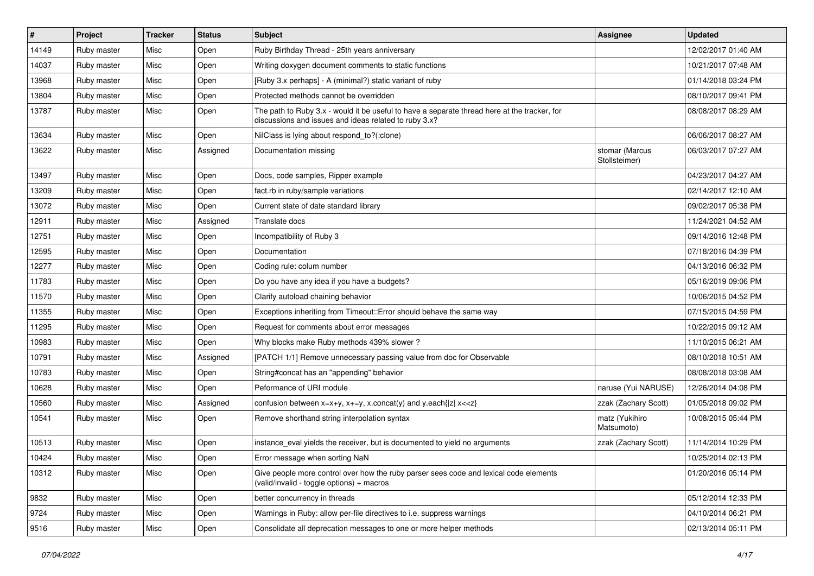| $\vert$ # | Project     | <b>Tracker</b> | <b>Status</b> | <b>Subject</b>                                                                                                                                        | Assignee                        | <b>Updated</b>      |
|-----------|-------------|----------------|---------------|-------------------------------------------------------------------------------------------------------------------------------------------------------|---------------------------------|---------------------|
| 14149     | Ruby master | Misc           | Open          | Ruby Birthday Thread - 25th years anniversary                                                                                                         |                                 | 12/02/2017 01:40 AM |
| 14037     | Ruby master | Misc           | Open          | Writing doxygen document comments to static functions                                                                                                 |                                 | 10/21/2017 07:48 AM |
| 13968     | Ruby master | Misc           | Open          | [Ruby 3.x perhaps] - A (minimal?) static variant of ruby                                                                                              |                                 | 01/14/2018 03:24 PM |
| 13804     | Ruby master | Misc           | Open          | Protected methods cannot be overridden                                                                                                                |                                 | 08/10/2017 09:41 PM |
| 13787     | Ruby master | Misc           | Open          | The path to Ruby 3.x - would it be useful to have a separate thread here at the tracker, for<br>discussions and issues and ideas related to ruby 3.x? |                                 | 08/08/2017 08:29 AM |
| 13634     | Ruby master | Misc           | Open          | NilClass is lying about respond_to?(:clone)                                                                                                           |                                 | 06/06/2017 08:27 AM |
| 13622     | Ruby master | Misc           | Assigned      | Documentation missing                                                                                                                                 | stomar (Marcus<br>Stollsteimer) | 06/03/2017 07:27 AM |
| 13497     | Ruby master | Misc           | Open          | Docs, code samples, Ripper example                                                                                                                    |                                 | 04/23/2017 04:27 AM |
| 13209     | Ruby master | Misc           | Open          | fact.rb in ruby/sample variations                                                                                                                     |                                 | 02/14/2017 12:10 AM |
| 13072     | Ruby master | Misc           | Open          | Current state of date standard library                                                                                                                |                                 | 09/02/2017 05:38 PM |
| 12911     | Ruby master | Misc           | Assigned      | Translate docs                                                                                                                                        |                                 | 11/24/2021 04:52 AM |
| 12751     | Ruby master | Misc           | Open          | Incompatibility of Ruby 3                                                                                                                             |                                 | 09/14/2016 12:48 PM |
| 12595     | Ruby master | Misc           | Open          | Documentation                                                                                                                                         |                                 | 07/18/2016 04:39 PM |
| 12277     | Ruby master | Misc           | Open          | Coding rule: colum number                                                                                                                             |                                 | 04/13/2016 06:32 PM |
| 11783     | Ruby master | Misc           | Open          | Do you have any idea if you have a budgets?                                                                                                           |                                 | 05/16/2019 09:06 PM |
| 11570     | Ruby master | Misc           | Open          | Clarify autoload chaining behavior                                                                                                                    |                                 | 10/06/2015 04:52 PM |
| 11355     | Ruby master | Misc           | Open          | Exceptions inheriting from Timeout:: Error should behave the same way                                                                                 |                                 | 07/15/2015 04:59 PM |
| 11295     | Ruby master | Misc           | Open          | Request for comments about error messages                                                                                                             |                                 | 10/22/2015 09:12 AM |
| 10983     | Ruby master | Misc           | Open          | Why blocks make Ruby methods 439% slower?                                                                                                             |                                 | 11/10/2015 06:21 AM |
| 10791     | Ruby master | Misc           | Assigned      | [PATCH 1/1] Remove unnecessary passing value from doc for Observable                                                                                  |                                 | 08/10/2018 10:51 AM |
| 10783     | Ruby master | Misc           | Open          | String#concat has an "appending" behavior                                                                                                             |                                 | 08/08/2018 03:08 AM |
| 10628     | Ruby master | Misc           | Open          | Peformance of URI module                                                                                                                              | naruse (Yui NARUSE)             | 12/26/2014 04:08 PM |
| 10560     | Ruby master | Misc           | Assigned      | confusion between $x=x+y$ , $x+=y$ , x.concat(y) and y.each{ z  $x<}$                                                                                 | zzak (Zachary Scott)            | 01/05/2018 09:02 PM |
| 10541     | Ruby master | Misc           | Open          | Remove shorthand string interpolation syntax                                                                                                          | matz (Yukihiro<br>Matsumoto)    | 10/08/2015 05:44 PM |
| 10513     | Ruby master | Misc           | Open          | instance_eval yields the receiver, but is documented to yield no arguments                                                                            | zzak (Zachary Scott)            | 11/14/2014 10:29 PM |
| 10424     | Ruby master | Misc           | Open          | Error message when sorting NaN                                                                                                                        |                                 | 10/25/2014 02:13 PM |
| 10312     | Ruby master | Misc           | Open          | Give people more control over how the ruby parser sees code and lexical code elements<br>(valid/invalid - toggle options) + macros                    |                                 | 01/20/2016 05:14 PM |
| 9832      | Ruby master | Misc           | Open          | better concurrency in threads                                                                                                                         |                                 | 05/12/2014 12:33 PM |
| 9724      | Ruby master | Misc           | Open          | Warnings in Ruby: allow per-file directives to i.e. suppress warnings                                                                                 |                                 | 04/10/2014 06:21 PM |
| 9516      | Ruby master | Misc           | Open          | Consolidate all deprecation messages to one or more helper methods                                                                                    |                                 | 02/13/2014 05:11 PM |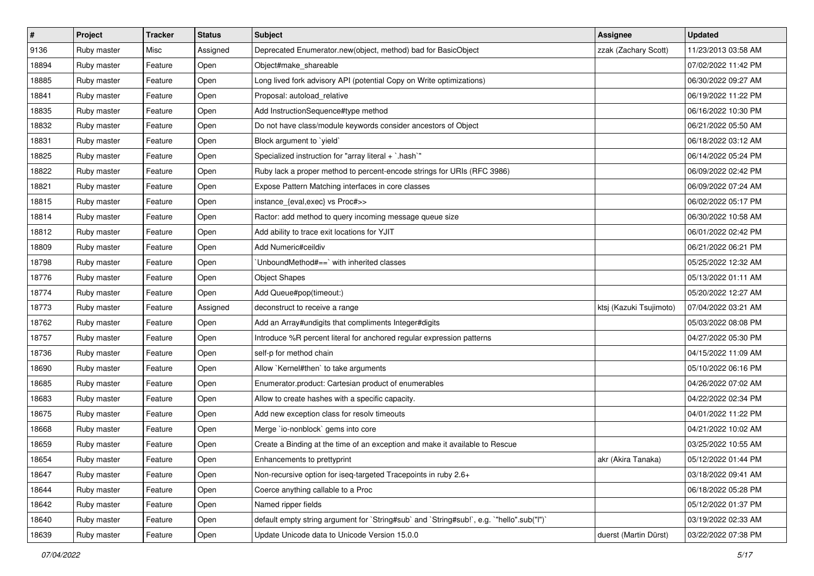| $\sharp$ | Project     | <b>Tracker</b> | <b>Status</b> | <b>Subject</b>                                                                            | <b>Assignee</b>         | <b>Updated</b>      |
|----------|-------------|----------------|---------------|-------------------------------------------------------------------------------------------|-------------------------|---------------------|
| 9136     | Ruby master | Misc           | Assigned      | Deprecated Enumerator.new(object, method) bad for BasicObject                             | zzak (Zachary Scott)    | 11/23/2013 03:58 AM |
| 18894    | Ruby master | Feature        | Open          | Object#make_shareable                                                                     |                         | 07/02/2022 11:42 PM |
| 18885    | Ruby master | Feature        | Open          | Long lived fork advisory API (potential Copy on Write optimizations)                      |                         | 06/30/2022 09:27 AM |
| 18841    | Ruby master | Feature        | Open          | Proposal: autoload_relative                                                               |                         | 06/19/2022 11:22 PM |
| 18835    | Ruby master | Feature        | Open          | Add InstructionSequence#type method                                                       |                         | 06/16/2022 10:30 PM |
| 18832    | Ruby master | Feature        | Open          | Do not have class/module keywords consider ancestors of Object                            |                         | 06/21/2022 05:50 AM |
| 18831    | Ruby master | Feature        | Open          | Block argument to `yield`                                                                 |                         | 06/18/2022 03:12 AM |
| 18825    | Ruby master | Feature        | Open          | Specialized instruction for "array literal + `.hash`"                                     |                         | 06/14/2022 05:24 PM |
| 18822    | Ruby master | Feature        | Open          | Ruby lack a proper method to percent-encode strings for URIs (RFC 3986)                   |                         | 06/09/2022 02:42 PM |
| 18821    | Ruby master | Feature        | Open          | Expose Pattern Matching interfaces in core classes                                        |                         | 06/09/2022 07:24 AM |
| 18815    | Ruby master | Feature        | Open          | instance_{eval,exec} vs Proc#>>                                                           |                         | 06/02/2022 05:17 PM |
| 18814    | Ruby master | Feature        | Open          | Ractor: add method to query incoming message queue size                                   |                         | 06/30/2022 10:58 AM |
| 18812    | Ruby master | Feature        | Open          | Add ability to trace exit locations for YJIT                                              |                         | 06/01/2022 02:42 PM |
| 18809    | Ruby master | Feature        | Open          | Add Numeric#ceildiv                                                                       |                         | 06/21/2022 06:21 PM |
| 18798    | Ruby master | Feature        | Open          | 'UnboundMethod#==' with inherited classes                                                 |                         | 05/25/2022 12:32 AM |
| 18776    | Ruby master | Feature        | Open          | <b>Object Shapes</b>                                                                      |                         | 05/13/2022 01:11 AM |
| 18774    | Ruby master | Feature        | Open          | Add Queue#pop(timeout:)                                                                   |                         | 05/20/2022 12:27 AM |
| 18773    | Ruby master | Feature        | Assigned      | deconstruct to receive a range                                                            | ktsj (Kazuki Tsujimoto) | 07/04/2022 03:21 AM |
| 18762    | Ruby master | Feature        | Open          | Add an Array#undigits that compliments Integer#digits                                     |                         | 05/03/2022 08:08 PM |
| 18757    | Ruby master | Feature        | Open          | Introduce %R percent literal for anchored regular expression patterns                     |                         | 04/27/2022 05:30 PM |
| 18736    | Ruby master | Feature        | Open          | self-p for method chain                                                                   |                         | 04/15/2022 11:09 AM |
| 18690    | Ruby master | Feature        | Open          | Allow `Kernel#then` to take arguments                                                     |                         | 05/10/2022 06:16 PM |
| 18685    | Ruby master | Feature        | Open          | Enumerator.product: Cartesian product of enumerables                                      |                         | 04/26/2022 07:02 AM |
| 18683    | Ruby master | Feature        | Open          | Allow to create hashes with a specific capacity.                                          |                         | 04/22/2022 02:34 PM |
| 18675    | Ruby master | Feature        | Open          | Add new exception class for resolv timeouts                                               |                         | 04/01/2022 11:22 PM |
| 18668    | Ruby master | Feature        | Open          | Merge `io-nonblock` gems into core                                                        |                         | 04/21/2022 10:02 AM |
| 18659    | Ruby master | Feature        | Open          | Create a Binding at the time of an exception and make it available to Rescue              |                         | 03/25/2022 10:55 AM |
| 18654    | Ruby master | Feature        | Open          | Enhancements to prettyprint                                                               | akr (Akira Tanaka)      | 05/12/2022 01:44 PM |
| 18647    | Ruby master | Feature        | Open          | Non-recursive option for iseq-targeted Tracepoints in ruby 2.6+                           |                         | 03/18/2022 09:41 AM |
| 18644    | Ruby master | Feature        | Open          | Coerce anything callable to a Proc                                                        |                         | 06/18/2022 05:28 PM |
| 18642    | Ruby master | Feature        | Open          | Named ripper fields                                                                       |                         | 05/12/2022 01:37 PM |
| 18640    | Ruby master | Feature        | Open          | default empty string argument for `String#sub` and `String#sub!`, e.g. `"hello".sub("I")` |                         | 03/19/2022 02:33 AM |
| 18639    | Ruby master | Feature        | Open          | Update Unicode data to Unicode Version 15.0.0                                             | duerst (Martin Dürst)   | 03/22/2022 07:38 PM |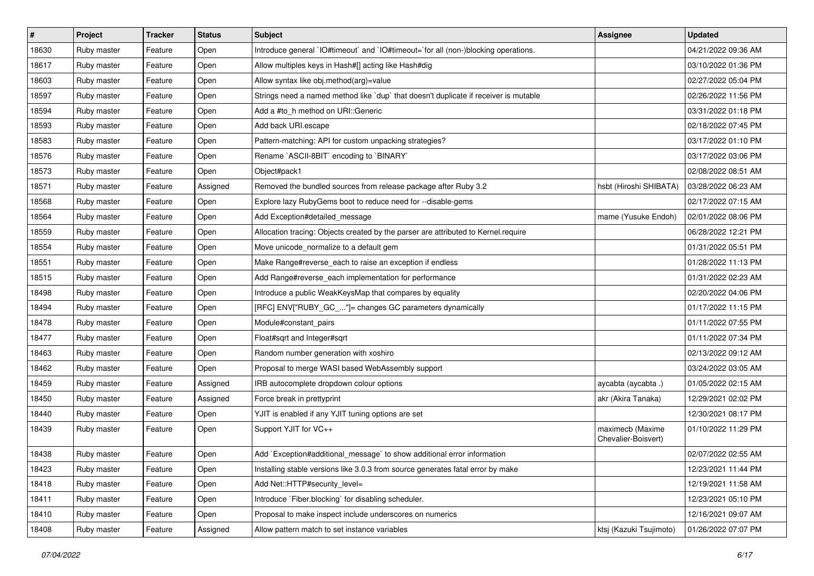| #     | Project     | <b>Tracker</b> | <b>Status</b> | Subject                                                                              | <b>Assignee</b>                         | <b>Updated</b>      |
|-------|-------------|----------------|---------------|--------------------------------------------------------------------------------------|-----------------------------------------|---------------------|
| 18630 | Ruby master | Feature        | Open          | Introduce general `IO#timeout` and `IO#timeout=`for all (non-)blocking operations.   |                                         | 04/21/2022 09:36 AM |
| 18617 | Ruby master | Feature        | Open          | Allow multiples keys in Hash#[] acting like Hash#dig                                 |                                         | 03/10/2022 01:36 PM |
| 18603 | Ruby master | Feature        | Open          | Allow syntax like obj.method(arg)=value                                              |                                         | 02/27/2022 05:04 PM |
| 18597 | Ruby master | Feature        | Open          | Strings need a named method like 'dup' that doesn't duplicate if receiver is mutable |                                         | 02/26/2022 11:56 PM |
| 18594 | Ruby master | Feature        | Open          | Add a #to_h method on URI::Generic                                                   |                                         | 03/31/2022 01:18 PM |
| 18593 | Ruby master | Feature        | Open          | Add back URI.escape                                                                  |                                         | 02/18/2022 07:45 PM |
| 18583 | Ruby master | Feature        | Open          | Pattern-matching: API for custom unpacking strategies?                               |                                         | 03/17/2022 01:10 PM |
| 18576 | Ruby master | Feature        | Open          | Rename `ASCII-8BIT` encoding to `BINARY`                                             |                                         | 03/17/2022 03:06 PM |
| 18573 | Ruby master | Feature        | Open          | Object#pack1                                                                         |                                         | 02/08/2022 08:51 AM |
| 18571 | Ruby master | Feature        | Assigned      | Removed the bundled sources from release package after Ruby 3.2                      | hsbt (Hiroshi SHIBATA)                  | 03/28/2022 06:23 AM |
| 18568 | Ruby master | Feature        | Open          | Explore lazy RubyGems boot to reduce need for --disable-gems                         |                                         | 02/17/2022 07:15 AM |
| 18564 | Ruby master | Feature        | Open          | Add Exception#detailed_message                                                       | mame (Yusuke Endoh)                     | 02/01/2022 08:06 PM |
| 18559 | Ruby master | Feature        | Open          | Allocation tracing: Objects created by the parser are attributed to Kernel.require   |                                         | 06/28/2022 12:21 PM |
| 18554 | Ruby master | Feature        | Open          | Move unicode_normalize to a default gem                                              |                                         | 01/31/2022 05:51 PM |
| 18551 | Ruby master | Feature        | Open          | Make Range#reverse_each to raise an exception if endless                             |                                         | 01/28/2022 11:13 PM |
| 18515 | Ruby master | Feature        | Open          | Add Range#reverse_each implementation for performance                                |                                         | 01/31/2022 02:23 AM |
| 18498 | Ruby master | Feature        | Open          | Introduce a public WeakKeysMap that compares by equality                             |                                         | 02/20/2022 04:06 PM |
| 18494 | Ruby master | Feature        | Open          | [RFC] ENV["RUBY_GC_"]= changes GC parameters dynamically                             |                                         | 01/17/2022 11:15 PM |
| 18478 | Ruby master | Feature        | Open          | Module#constant pairs                                                                |                                         | 01/11/2022 07:55 PM |
| 18477 | Ruby master | Feature        | Open          | Float#sqrt and Integer#sqrt                                                          |                                         | 01/11/2022 07:34 PM |
| 18463 | Ruby master | Feature        | Open          | Random number generation with xoshiro                                                |                                         | 02/13/2022 09:12 AM |
| 18462 | Ruby master | Feature        | Open          | Proposal to merge WASI based WebAssembly support                                     |                                         | 03/24/2022 03:05 AM |
| 18459 | Ruby master | Feature        | Assigned      | IRB autocomplete dropdown colour options                                             | aycabta (aycabta.)                      | 01/05/2022 02:15 AM |
| 18450 | Ruby master | Feature        | Assigned      | Force break in prettyprint                                                           | akr (Akira Tanaka)                      | 12/29/2021 02:02 PM |
| 18440 | Ruby master | Feature        | Open          | YJIT is enabled if any YJIT tuning options are set                                   |                                         | 12/30/2021 08:17 PM |
| 18439 | Ruby master | Feature        | Open          | Support YJIT for VC++                                                                | maximecb (Maxime<br>Chevalier-Boisvert) | 01/10/2022 11:29 PM |
| 18438 | Ruby master | Feature        | Open          | Add `Exception#additional_message` to show additional error information              |                                         | 02/07/2022 02:55 AM |
| 18423 | Ruby master | Feature        | Open          | Installing stable versions like 3.0.3 from source generates fatal error by make      |                                         | 12/23/2021 11:44 PM |
| 18418 | Ruby master | Feature        | Open          | Add Net::HTTP#security_level=                                                        |                                         | 12/19/2021 11:58 AM |
| 18411 | Ruby master | Feature        | Open          | Introduce `Fiber.blocking` for disabling scheduler.                                  |                                         | 12/23/2021 05:10 PM |
| 18410 | Ruby master | Feature        | Open          | Proposal to make inspect include underscores on numerics                             |                                         | 12/16/2021 09:07 AM |
| 18408 | Ruby master | Feature        | Assigned      | Allow pattern match to set instance variables                                        | ktsj (Kazuki Tsujimoto)                 | 01/26/2022 07:07 PM |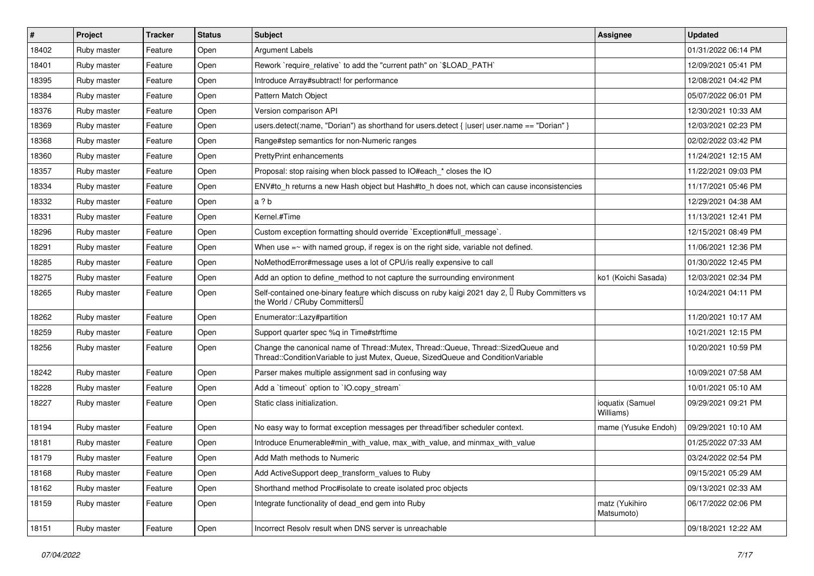| #     | Project     | <b>Tracker</b> | <b>Status</b> | Subject                                                                                                                                                               | <b>Assignee</b>               | <b>Updated</b>      |
|-------|-------------|----------------|---------------|-----------------------------------------------------------------------------------------------------------------------------------------------------------------------|-------------------------------|---------------------|
| 18402 | Ruby master | Feature        | Open          | <b>Argument Labels</b>                                                                                                                                                |                               | 01/31/2022 06:14 PM |
| 18401 | Ruby master | Feature        | Open          | Rework `require_relative` to add the "current path" on `\$LOAD_PATH`                                                                                                  |                               | 12/09/2021 05:41 PM |
| 18395 | Ruby master | Feature        | Open          | Introduce Array#subtract! for performance                                                                                                                             |                               | 12/08/2021 04:42 PM |
| 18384 | Ruby master | Feature        | Open          | Pattern Match Object                                                                                                                                                  |                               | 05/07/2022 06:01 PM |
| 18376 | Ruby master | Feature        | Open          | Version comparison API                                                                                                                                                |                               | 12/30/2021 10:33 AM |
| 18369 | Ruby master | Feature        | Open          | users.detect(:name, "Dorian") as shorthand for users.detect { $ $ user  user.name == "Dorian" }                                                                       |                               | 12/03/2021 02:23 PM |
| 18368 | Ruby master | Feature        | Open          | Range#step semantics for non-Numeric ranges                                                                                                                           |                               | 02/02/2022 03:42 PM |
| 18360 | Ruby master | Feature        | Open          | <b>PrettyPrint enhancements</b>                                                                                                                                       |                               | 11/24/2021 12:15 AM |
| 18357 | Ruby master | Feature        | Open          | Proposal: stop raising when block passed to IO#each * closes the IO                                                                                                   |                               | 11/22/2021 09:03 PM |
| 18334 | Ruby master | Feature        | Open          | ENV#to_h returns a new Hash object but Hash#to_h does not, which can cause inconsistencies                                                                            |                               | 11/17/2021 05:46 PM |
| 18332 | Ruby master | Feature        | Open          | a ? b                                                                                                                                                                 |                               | 12/29/2021 04:38 AM |
| 18331 | Ruby master | Feature        | Open          | Kernel.#Time                                                                                                                                                          |                               | 11/13/2021 12:41 PM |
| 18296 | Ruby master | Feature        | Open          | Custom exception formatting should override `Exception#full_message`.                                                                                                 |                               | 12/15/2021 08:49 PM |
| 18291 | Ruby master | Feature        | Open          | When use $=\sim$ with named group, if regex is on the right side, variable not defined.                                                                               |                               | 11/06/2021 12:36 PM |
| 18285 | Ruby master | Feature        | Open          | NoMethodError#message uses a lot of CPU/is really expensive to call                                                                                                   |                               | 01/30/2022 12:45 PM |
| 18275 | Ruby master | Feature        | Open          | Add an option to define_method to not capture the surrounding environment                                                                                             | ko1 (Koichi Sasada)           | 12/03/2021 02:34 PM |
| 18265 | Ruby master | Feature        | Open          | Self-contained one-binary feature which discuss on ruby kaigi 2021 day 2, <sup>[]</sup> Ruby Committers vs<br>the World / CRuby Committers                            |                               | 10/24/2021 04:11 PM |
| 18262 | Ruby master | Feature        | Open          | Enumerator::Lazy#partition                                                                                                                                            |                               | 11/20/2021 10:17 AM |
| 18259 | Ruby master | Feature        | Open          | Support quarter spec %q in Time#strftime                                                                                                                              |                               | 10/21/2021 12:15 PM |
| 18256 | Ruby master | Feature        | Open          | Change the canonical name of Thread::Mutex, Thread::Queue, Thread::SizedQueue and<br>Thread::ConditionVariable to just Mutex, Queue, SizedQueue and ConditionVariable |                               | 10/20/2021 10:59 PM |
| 18242 | Ruby master | Feature        | Open          | Parser makes multiple assignment sad in confusing way                                                                                                                 |                               | 10/09/2021 07:58 AM |
| 18228 | Ruby master | Feature        | Open          | Add a 'timeout' option to 'IO.copy stream'                                                                                                                            |                               | 10/01/2021 05:10 AM |
| 18227 | Ruby master | Feature        | Open          | Static class initialization.                                                                                                                                          | ioquatix (Samuel<br>Williams) | 09/29/2021 09:21 PM |
| 18194 | Ruby master | Feature        | Open          | No easy way to format exception messages per thread/fiber scheduler context.                                                                                          | mame (Yusuke Endoh)           | 09/29/2021 10:10 AM |
| 18181 | Ruby master | Feature        | Open          | Introduce Enumerable#min with value, max with value, and minmax with value                                                                                            |                               | 01/25/2022 07:33 AM |
| 18179 | Ruby master | Feature        | Open          | Add Math methods to Numeric                                                                                                                                           |                               | 03/24/2022 02:54 PM |
| 18168 | Ruby master | Feature        | Open          | Add ActiveSupport deep_transform_values to Ruby                                                                                                                       |                               | 09/15/2021 05:29 AM |
| 18162 | Ruby master | Feature        | Open          | Shorthand method Proc#isolate to create isolated proc objects                                                                                                         |                               | 09/13/2021 02:33 AM |
| 18159 | Ruby master | Feature        | Open          | Integrate functionality of dead_end gem into Ruby                                                                                                                     | matz (Yukihiro<br>Matsumoto)  | 06/17/2022 02:06 PM |
| 18151 | Ruby master | Feature        | Open          | Incorrect Resolv result when DNS server is unreachable                                                                                                                |                               | 09/18/2021 12:22 AM |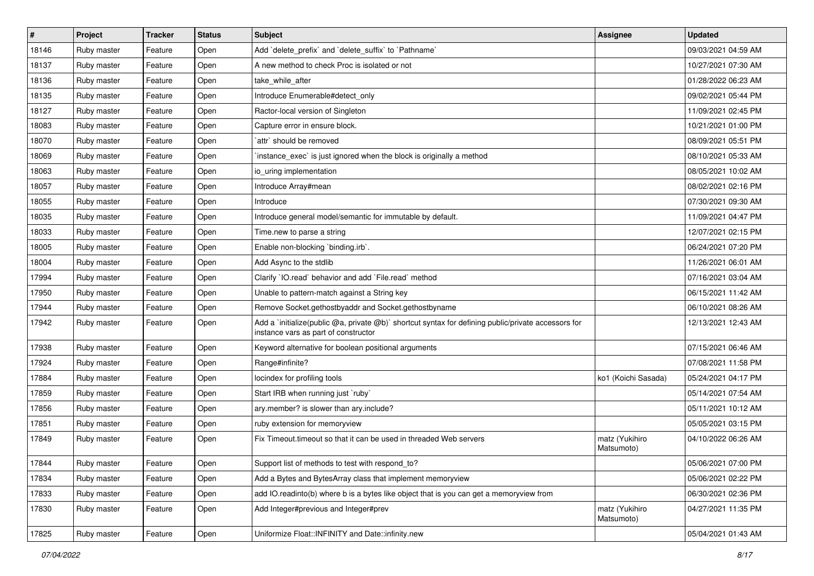| $\vert$ # | Project     | <b>Tracker</b> | <b>Status</b> | Subject                                                                                                                                     | Assignee                     | <b>Updated</b>      |
|-----------|-------------|----------------|---------------|---------------------------------------------------------------------------------------------------------------------------------------------|------------------------------|---------------------|
| 18146     | Ruby master | Feature        | Open          | Add 'delete_prefix' and 'delete_suffix' to 'Pathname'                                                                                       |                              | 09/03/2021 04:59 AM |
| 18137     | Ruby master | Feature        | Open          | A new method to check Proc is isolated or not                                                                                               |                              | 10/27/2021 07:30 AM |
| 18136     | Ruby master | Feature        | Open          | take_while_after                                                                                                                            |                              | 01/28/2022 06:23 AM |
| 18135     | Ruby master | Feature        | Open          | Introduce Enumerable#detect_only                                                                                                            |                              | 09/02/2021 05:44 PM |
| 18127     | Ruby master | Feature        | Open          | Ractor-local version of Singleton                                                                                                           |                              | 11/09/2021 02:45 PM |
| 18083     | Ruby master | Feature        | Open          | Capture error in ensure block.                                                                                                              |                              | 10/21/2021 01:00 PM |
| 18070     | Ruby master | Feature        | Open          | `attr` should be removed                                                                                                                    |                              | 08/09/2021 05:51 PM |
| 18069     | Ruby master | Feature        | Open          | instance_exec` is just ignored when the block is originally a method                                                                        |                              | 08/10/2021 05:33 AM |
| 18063     | Ruby master | Feature        | Open          | io uring implementation                                                                                                                     |                              | 08/05/2021 10:02 AM |
| 18057     | Ruby master | Feature        | Open          | Introduce Array#mean                                                                                                                        |                              | 08/02/2021 02:16 PM |
| 18055     | Ruby master | Feature        | Open          | Introduce                                                                                                                                   |                              | 07/30/2021 09:30 AM |
| 18035     | Ruby master | Feature        | Open          | Introduce general model/semantic for immutable by default.                                                                                  |                              | 11/09/2021 04:47 PM |
| 18033     | Ruby master | Feature        | Open          | Time.new to parse a string                                                                                                                  |                              | 12/07/2021 02:15 PM |
| 18005     | Ruby master | Feature        | Open          | Enable non-blocking 'binding.irb'.                                                                                                          |                              | 06/24/2021 07:20 PM |
| 18004     | Ruby master | Feature        | Open          | Add Async to the stdlib                                                                                                                     |                              | 11/26/2021 06:01 AM |
| 17994     | Ruby master | Feature        | Open          | Clarify 'IO.read' behavior and add 'File.read' method                                                                                       |                              | 07/16/2021 03:04 AM |
| 17950     | Ruby master | Feature        | Open          | Unable to pattern-match against a String key                                                                                                |                              | 06/15/2021 11:42 AM |
| 17944     | Ruby master | Feature        | Open          | Remove Socket.gethostbyaddr and Socket.gethostbyname                                                                                        |                              | 06/10/2021 08:26 AM |
| 17942     | Ruby master | Feature        | Open          | Add a `initialize(public @a, private @b)` shortcut syntax for defining public/private accessors for<br>instance vars as part of constructor |                              | 12/13/2021 12:43 AM |
| 17938     | Ruby master | Feature        | Open          | Keyword alternative for boolean positional arguments                                                                                        |                              | 07/15/2021 06:46 AM |
| 17924     | Ruby master | Feature        | Open          | Range#infinite?                                                                                                                             |                              | 07/08/2021 11:58 PM |
| 17884     | Ruby master | Feature        | Open          | locindex for profiling tools                                                                                                                | ko1 (Koichi Sasada)          | 05/24/2021 04:17 PM |
| 17859     | Ruby master | Feature        | Open          | Start IRB when running just `ruby`                                                                                                          |                              | 05/14/2021 07:54 AM |
| 17856     | Ruby master | Feature        | Open          | ary.member? is slower than ary.include?                                                                                                     |                              | 05/11/2021 10:12 AM |
| 17851     | Ruby master | Feature        | Open          | ruby extension for memoryview                                                                                                               |                              | 05/05/2021 03:15 PM |
| 17849     | Ruby master | Feature        | Open          | Fix Timeout timeout so that it can be used in threaded Web servers                                                                          | matz (Yukihiro<br>Matsumoto) | 04/10/2022 06:26 AM |
| 17844     | Ruby master | Feature        | Open          | Support list of methods to test with respond_to?                                                                                            |                              | 05/06/2021 07:00 PM |
| 17834     | Ruby master | Feature        | Open          | Add a Bytes and BytesArray class that implement memoryview                                                                                  |                              | 05/06/2021 02:22 PM |
| 17833     | Ruby master | Feature        | Open          | add IO.readinto(b) where b is a bytes like object that is you can get a memoryview from                                                     |                              | 06/30/2021 02:36 PM |
| 17830     | Ruby master | Feature        | Open          | Add Integer#previous and Integer#prev                                                                                                       | matz (Yukihiro<br>Matsumoto) | 04/27/2021 11:35 PM |
| 17825     | Ruby master | Feature        | Open          | Uniformize Float::INFINITY and Date::infinity.new                                                                                           |                              | 05/04/2021 01:43 AM |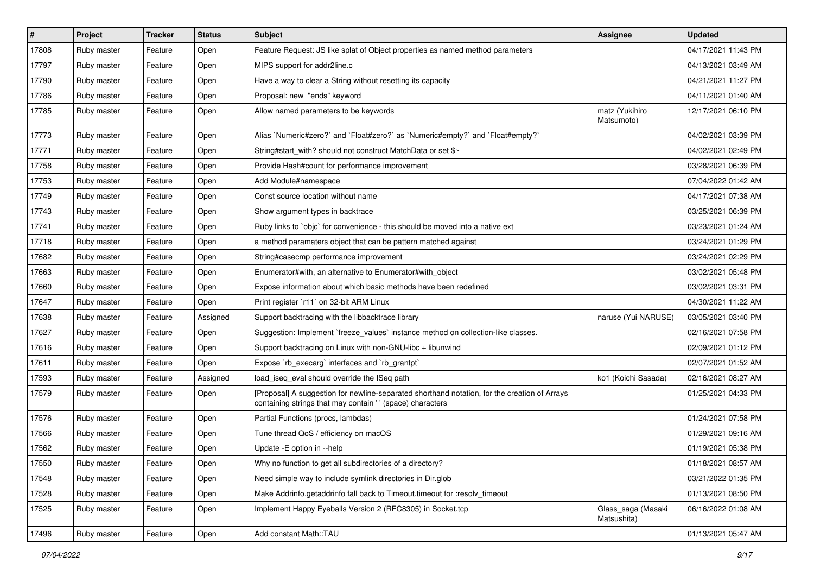| $\vert$ # | Project     | <b>Tracker</b> | <b>Status</b> | Subject                                                                                                                                                    | Assignee                          | <b>Updated</b>      |
|-----------|-------------|----------------|---------------|------------------------------------------------------------------------------------------------------------------------------------------------------------|-----------------------------------|---------------------|
| 17808     | Ruby master | Feature        | Open          | Feature Request: JS like splat of Object properties as named method parameters                                                                             |                                   | 04/17/2021 11:43 PM |
| 17797     | Ruby master | Feature        | Open          | MIPS support for addr2line.c                                                                                                                               |                                   | 04/13/2021 03:49 AM |
| 17790     | Ruby master | Feature        | Open          | Have a way to clear a String without resetting its capacity                                                                                                |                                   | 04/21/2021 11:27 PM |
| 17786     | Ruby master | Feature        | Open          | Proposal: new "ends" keyword                                                                                                                               |                                   | 04/11/2021 01:40 AM |
| 17785     | Ruby master | Feature        | Open          | Allow named parameters to be keywords                                                                                                                      | matz (Yukihiro<br>Matsumoto)      | 12/17/2021 06:10 PM |
| 17773     | Ruby master | Feature        | Open          | Alias `Numeric#zero?` and `Float#zero?` as `Numeric#empty?` and `Float#empty?`                                                                             |                                   | 04/02/2021 03:39 PM |
| 17771     | Ruby master | Feature        | Open          | String#start_with? should not construct MatchData or set \$~                                                                                               |                                   | 04/02/2021 02:49 PM |
| 17758     | Ruby master | Feature        | Open          | Provide Hash#count for performance improvement                                                                                                             |                                   | 03/28/2021 06:39 PM |
| 17753     | Ruby master | Feature        | Open          | Add Module#namespace                                                                                                                                       |                                   | 07/04/2022 01:42 AM |
| 17749     | Ruby master | Feature        | Open          | Const source location without name                                                                                                                         |                                   | 04/17/2021 07:38 AM |
| 17743     | Ruby master | Feature        | Open          | Show argument types in backtrace                                                                                                                           |                                   | 03/25/2021 06:39 PM |
| 17741     | Ruby master | Feature        | Open          | Ruby links to `objc` for convenience - this should be moved into a native ext                                                                              |                                   | 03/23/2021 01:24 AM |
| 17718     | Ruby master | Feature        | Open          | a method paramaters object that can be pattern matched against                                                                                             |                                   | 03/24/2021 01:29 PM |
| 17682     | Ruby master | Feature        | Open          | String#casecmp performance improvement                                                                                                                     |                                   | 03/24/2021 02:29 PM |
| 17663     | Ruby master | Feature        | Open          | Enumerator#with, an alternative to Enumerator#with_object                                                                                                  |                                   | 03/02/2021 05:48 PM |
| 17660     | Ruby master | Feature        | Open          | Expose information about which basic methods have been redefined                                                                                           |                                   | 03/02/2021 03:31 PM |
| 17647     | Ruby master | Feature        | Open          | Print register `r11` on 32-bit ARM Linux                                                                                                                   |                                   | 04/30/2021 11:22 AM |
| 17638     | Ruby master | Feature        | Assigned      | Support backtracing with the libbacktrace library                                                                                                          | naruse (Yui NARUSE)               | 03/05/2021 03:40 PM |
| 17627     | Ruby master | Feature        | Open          | Suggestion: Implement `freeze_values` instance method on collection-like classes.                                                                          |                                   | 02/16/2021 07:58 PM |
| 17616     | Ruby master | Feature        | Open          | Support backtracing on Linux with non-GNU-libc + libunwind                                                                                                 |                                   | 02/09/2021 01:12 PM |
| 17611     | Ruby master | Feature        | Open          | Expose `rb_execarg` interfaces and `rb_grantpt`                                                                                                            |                                   | 02/07/2021 01:52 AM |
| 17593     | Ruby master | Feature        | Assigned      | load_iseq_eval should override the ISeq path                                                                                                               | ko1 (Koichi Sasada)               | 02/16/2021 08:27 AM |
| 17579     | Ruby master | Feature        | Open          | [Proposal] A suggestion for newline-separated shorthand notation, for the creation of Arrays<br>containing strings that may contain ' ' (space) characters |                                   | 01/25/2021 04:33 PM |
| 17576     | Ruby master | Feature        | Open          | Partial Functions (procs, lambdas)                                                                                                                         |                                   | 01/24/2021 07:58 PM |
| 17566     | Ruby master | Feature        | Open          | Tune thread QoS / efficiency on macOS                                                                                                                      |                                   | 01/29/2021 09:16 AM |
| 17562     | Ruby master | Feature        | Open          | Update -E option in --help                                                                                                                                 |                                   | 01/19/2021 05:38 PM |
| 17550     | Ruby master | Feature        | Open          | Why no function to get all subdirectories of a directory?                                                                                                  |                                   | 01/18/2021 08:57 AM |
| 17548     | Ruby master | Feature        | Open          | Need simple way to include symlink directories in Dir.glob                                                                                                 |                                   | 03/21/2022 01:35 PM |
| 17528     | Ruby master | Feature        | Open          | Make Addrinfo.getaddrinfo fall back to Timeout.timeout for :resolv_timeout                                                                                 |                                   | 01/13/2021 08:50 PM |
| 17525     | Ruby master | Feature        | Open          | Implement Happy Eyeballs Version 2 (RFC8305) in Socket.tcp                                                                                                 | Glass_saga (Masaki<br>Matsushita) | 06/16/2022 01:08 AM |
| 17496     | Ruby master | Feature        | Open          | Add constant Math::TAU                                                                                                                                     |                                   | 01/13/2021 05:47 AM |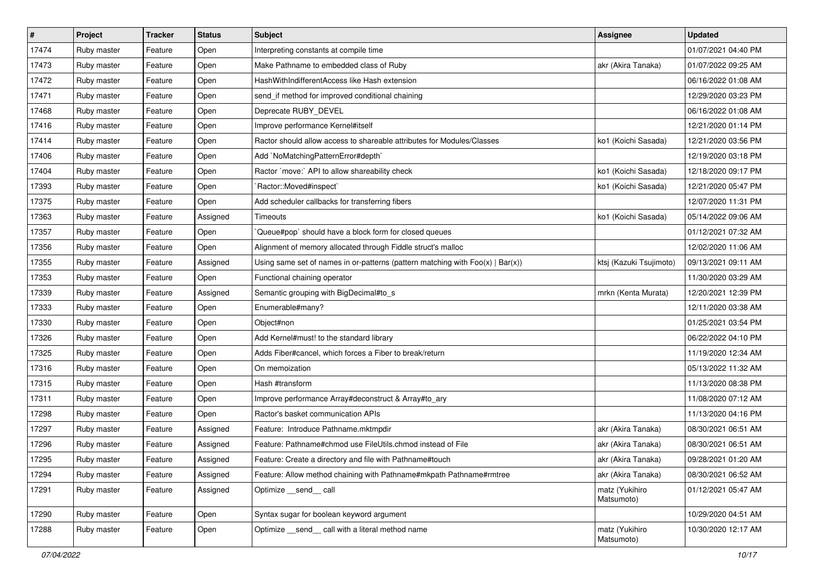| $\sharp$ | Project     | <b>Tracker</b> | <b>Status</b> | Subject                                                                           | Assignee                     | <b>Updated</b>      |
|----------|-------------|----------------|---------------|-----------------------------------------------------------------------------------|------------------------------|---------------------|
| 17474    | Ruby master | Feature        | Open          | Interpreting constants at compile time                                            |                              | 01/07/2021 04:40 PM |
| 17473    | Ruby master | Feature        | Open          | Make Pathname to embedded class of Ruby                                           | akr (Akira Tanaka)           | 01/07/2022 09:25 AM |
| 17472    | Ruby master | Feature        | Open          | HashWithIndifferentAccess like Hash extension                                     |                              | 06/16/2022 01:08 AM |
| 17471    | Ruby master | Feature        | Open          | send_if method for improved conditional chaining                                  |                              | 12/29/2020 03:23 PM |
| 17468    | Ruby master | Feature        | Open          | Deprecate RUBY_DEVEL                                                              |                              | 06/16/2022 01:08 AM |
| 17416    | Ruby master | Feature        | Open          | Improve performance Kernel#itself                                                 |                              | 12/21/2020 01:14 PM |
| 17414    | Ruby master | Feature        | Open          | Ractor should allow access to shareable attributes for Modules/Classes            | ko1 (Koichi Sasada)          | 12/21/2020 03:56 PM |
| 17406    | Ruby master | Feature        | Open          | Add `NoMatchingPatternError#depth`                                                |                              | 12/19/2020 03:18 PM |
| 17404    | Ruby master | Feature        | Open          | Ractor `move:` API to allow shareability check                                    | ko1 (Koichi Sasada)          | 12/18/2020 09:17 PM |
| 17393    | Ruby master | Feature        | Open          | `Ractor::Moved#inspect`                                                           | ko1 (Koichi Sasada)          | 12/21/2020 05:47 PM |
| 17375    | Ruby master | Feature        | Open          | Add scheduler callbacks for transferring fibers                                   |                              | 12/07/2020 11:31 PM |
| 17363    | Ruby master | Feature        | Assigned      | Timeouts                                                                          | ko1 (Koichi Sasada)          | 05/14/2022 09:06 AM |
| 17357    | Ruby master | Feature        | Open          | Queue#pop`should have a block form for closed queues                              |                              | 01/12/2021 07:32 AM |
| 17356    | Ruby master | Feature        | Open          | Alignment of memory allocated through Fiddle struct's malloc                      |                              | 12/02/2020 11:06 AM |
| 17355    | Ruby master | Feature        | Assigned      | Using same set of names in or-patterns (pattern matching with $Foo(x)   Bar(x)$ ) | ktsj (Kazuki Tsujimoto)      | 09/13/2021 09:11 AM |
| 17353    | Ruby master | Feature        | Open          | Functional chaining operator                                                      |                              | 11/30/2020 03:29 AM |
| 17339    | Ruby master | Feature        | Assigned      | Semantic grouping with BigDecimal#to_s                                            | mrkn (Kenta Murata)          | 12/20/2021 12:39 PM |
| 17333    | Ruby master | Feature        | Open          | Enumerable#many?                                                                  |                              | 12/11/2020 03:38 AM |
| 17330    | Ruby master | Feature        | Open          | Object#non                                                                        |                              | 01/25/2021 03:54 PM |
| 17326    | Ruby master | Feature        | Open          | Add Kernel#must! to the standard library                                          |                              | 06/22/2022 04:10 PM |
| 17325    | Ruby master | Feature        | Open          | Adds Fiber#cancel, which forces a Fiber to break/return                           |                              | 11/19/2020 12:34 AM |
| 17316    | Ruby master | Feature        | Open          | On memoization                                                                    |                              | 05/13/2022 11:32 AM |
| 17315    | Ruby master | Feature        | Open          | Hash #transform                                                                   |                              | 11/13/2020 08:38 PM |
| 17311    | Ruby master | Feature        | Open          | Improve performance Array#deconstruct & Array#to_ary                              |                              | 11/08/2020 07:12 AM |
| 17298    | Ruby master | Feature        | Open          | Ractor's basket communication APIs                                                |                              | 11/13/2020 04:16 PM |
| 17297    | Ruby master | Feature        | Assigned      | Feature: Introduce Pathname.mktmpdir                                              | akr (Akira Tanaka)           | 08/30/2021 06:51 AM |
| 17296    | Ruby master | Feature        | Assigned      | Feature: Pathname#chmod use FileUtils.chmod instead of File                       | akr (Akira Tanaka)           | 08/30/2021 06:51 AM |
| 17295    | Ruby master | Feature        | Assigned      | Feature: Create a directory and file with Pathname#touch                          | akr (Akira Tanaka)           | 09/28/2021 01:20 AM |
| 17294    | Ruby master | Feature        | Assigned      | Feature: Allow method chaining with Pathname#mkpath Pathname#rmtree               | akr (Akira Tanaka)           | 08/30/2021 06:52 AM |
| 17291    | Ruby master | Feature        | Assigned      | Optimize __send__ call                                                            | matz (Yukihiro<br>Matsumoto) | 01/12/2021 05:47 AM |
| 17290    | Ruby master | Feature        | Open          | Syntax sugar for boolean keyword argument                                         |                              | 10/29/2020 04:51 AM |
| 17288    | Ruby master | Feature        | Open          | Optimize send call with a literal method name                                     | matz (Yukihiro<br>Matsumoto) | 10/30/2020 12:17 AM |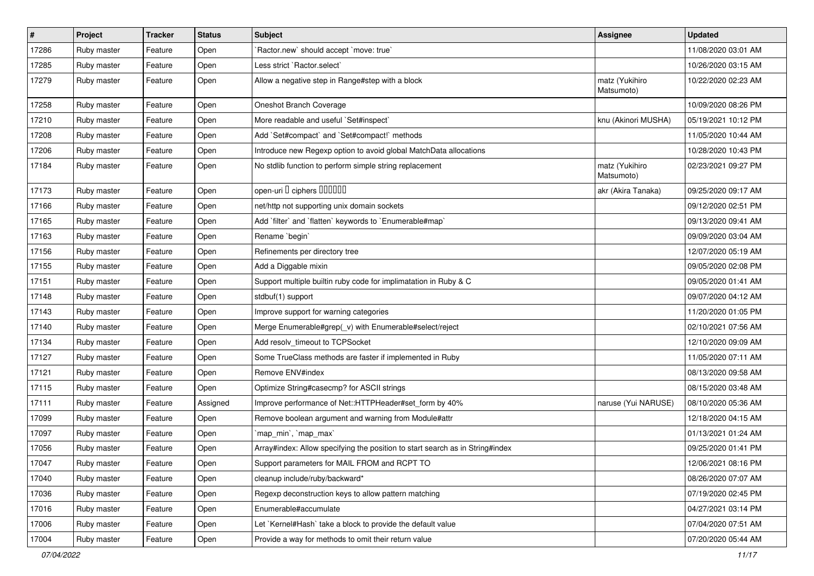| $\vert$ # | Project     | <b>Tracker</b> | <b>Status</b> | Subject                                                                       | Assignee                     | <b>Updated</b>      |
|-----------|-------------|----------------|---------------|-------------------------------------------------------------------------------|------------------------------|---------------------|
| 17286     | Ruby master | Feature        | Open          | 'Ractor.new' should accept 'move: true'                                       |                              | 11/08/2020 03:01 AM |
| 17285     | Ruby master | Feature        | Open          | Less strict `Ractor.select`                                                   |                              | 10/26/2020 03:15 AM |
| 17279     | Ruby master | Feature        | Open          | Allow a negative step in Range#step with a block                              | matz (Yukihiro<br>Matsumoto) | 10/22/2020 02:23 AM |
| 17258     | Ruby master | Feature        | Open          | Oneshot Branch Coverage                                                       |                              | 10/09/2020 08:26 PM |
| 17210     | Ruby master | Feature        | Open          | More readable and useful `Set#inspect`                                        | knu (Akinori MUSHA)          | 05/19/2021 10:12 PM |
| 17208     | Ruby master | Feature        | Open          | Add `Set#compact` and `Set#compact!` methods                                  |                              | 11/05/2020 10:44 AM |
| 17206     | Ruby master | Feature        | Open          | Introduce new Regexp option to avoid global MatchData allocations             |                              | 10/28/2020 10:43 PM |
| 17184     | Ruby master | Feature        | Open          | No stdlib function to perform simple string replacement                       | matz (Yukihiro<br>Matsumoto) | 02/23/2021 09:27 PM |
| 17173     | Ruby master | Feature        | Open          | open-uri I ciphers IIIIIII                                                    | akr (Akira Tanaka)           | 09/25/2020 09:17 AM |
| 17166     | Ruby master | Feature        | Open          | net/http not supporting unix domain sockets                                   |                              | 09/12/2020 02:51 PM |
| 17165     | Ruby master | Feature        | Open          | Add 'filter' and 'flatten' keywords to 'Enumerable#map'                       |                              | 09/13/2020 09:41 AM |
| 17163     | Ruby master | Feature        | Open          | Rename `begin`                                                                |                              | 09/09/2020 03:04 AM |
| 17156     | Ruby master | Feature        | Open          | Refinements per directory tree                                                |                              | 12/07/2020 05:19 AM |
| 17155     | Ruby master | Feature        | Open          | Add a Diggable mixin                                                          |                              | 09/05/2020 02:08 PM |
| 17151     | Ruby master | Feature        | Open          | Support multiple builtin ruby code for implimatation in Ruby & C              |                              | 09/05/2020 01:41 AM |
| 17148     | Ruby master | Feature        | Open          | stdbuf(1) support                                                             |                              | 09/07/2020 04:12 AM |
| 17143     | Ruby master | Feature        | Open          | Improve support for warning categories                                        |                              | 11/20/2020 01:05 PM |
| 17140     | Ruby master | Feature        | Open          | Merge Enumerable#grep(_v) with Enumerable#select/reject                       |                              | 02/10/2021 07:56 AM |
| 17134     | Ruby master | Feature        | Open          | Add resolv_timeout to TCPSocket                                               |                              | 12/10/2020 09:09 AM |
| 17127     | Ruby master | Feature        | Open          | Some TrueClass methods are faster if implemented in Ruby                      |                              | 11/05/2020 07:11 AM |
| 17121     | Ruby master | Feature        | Open          | Remove ENV#index                                                              |                              | 08/13/2020 09:58 AM |
| 17115     | Ruby master | Feature        | Open          | Optimize String#casecmp? for ASCII strings                                    |                              | 08/15/2020 03:48 AM |
| 17111     | Ruby master | Feature        | Assigned      | Improve performance of Net::HTTPHeader#set_form by 40%                        | naruse (Yui NARUSE)          | 08/10/2020 05:36 AM |
| 17099     | Ruby master | Feature        | Open          | Remove boolean argument and warning from Module#attr                          |                              | 12/18/2020 04:15 AM |
| 17097     | Ruby master | Feature        | Open          | `map_min`, `map_max`                                                          |                              | 01/13/2021 01:24 AM |
| 17056     | Ruby master | Feature        | Open          | Array#index: Allow specifying the position to start search as in String#index |                              | 09/25/2020 01:41 PM |
| 17047     | Ruby master | Feature        | Open          | Support parameters for MAIL FROM and RCPT TO                                  |                              | 12/06/2021 08:16 PM |
| 17040     | Ruby master | Feature        | Open          | cleanup include/ruby/backward*                                                |                              | 08/26/2020 07:07 AM |
| 17036     | Ruby master | Feature        | Open          | Regexp deconstruction keys to allow pattern matching                          |                              | 07/19/2020 02:45 PM |
| 17016     | Ruby master | Feature        | Open          | Enumerable#accumulate                                                         |                              | 04/27/2021 03:14 PM |
| 17006     | Ruby master | Feature        | Open          | Let `Kernel#Hash` take a block to provide the default value                   |                              | 07/04/2020 07:51 AM |
| 17004     | Ruby master | Feature        | Open          | Provide a way for methods to omit their return value                          |                              | 07/20/2020 05:44 AM |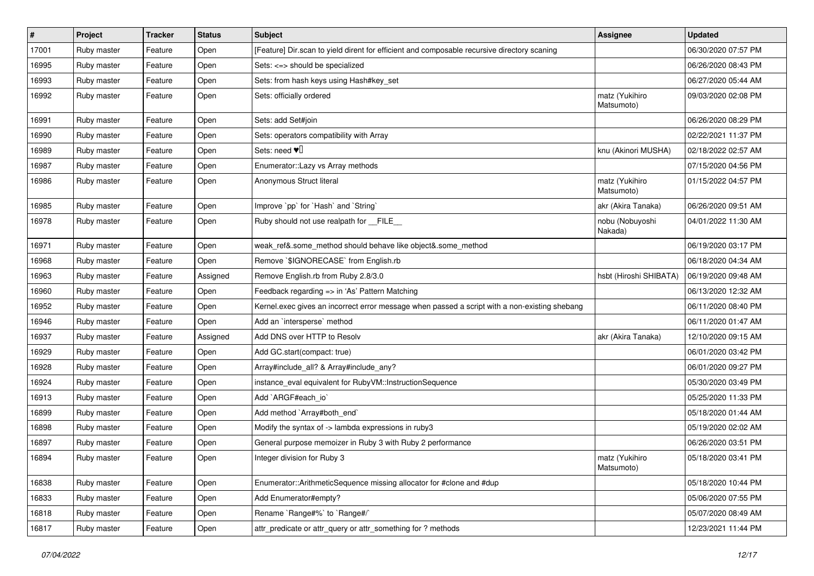| $\vert$ # | Project     | <b>Tracker</b> | <b>Status</b> | <b>Subject</b>                                                                                | Assignee                     | <b>Updated</b>      |
|-----------|-------------|----------------|---------------|-----------------------------------------------------------------------------------------------|------------------------------|---------------------|
| 17001     | Ruby master | Feature        | Open          | [Feature] Dir.scan to yield dirent for efficient and composable recursive directory scaning   |                              | 06/30/2020 07:57 PM |
| 16995     | Ruby master | Feature        | Open          | Sets: <=> should be specialized                                                               |                              | 06/26/2020 08:43 PM |
| 16993     | Ruby master | Feature        | Open          | Sets: from hash keys using Hash#key_set                                                       |                              | 06/27/2020 05:44 AM |
| 16992     | Ruby master | Feature        | Open          | Sets: officially ordered                                                                      | matz (Yukihiro<br>Matsumoto) | 09/03/2020 02:08 PM |
| 16991     | Ruby master | Feature        | Open          | Sets: add Set#join                                                                            |                              | 06/26/2020 08:29 PM |
| 16990     | Ruby master | Feature        | Open          | Sets: operators compatibility with Array                                                      |                              | 02/22/2021 11:37 PM |
| 16989     | Ruby master | Feature        | Open          | Sets: need $\Psi$ <sup>[]</sup>                                                               | knu (Akinori MUSHA)          | 02/18/2022 02:57 AM |
| 16987     | Ruby master | Feature        | Open          | Enumerator:: Lazy vs Array methods                                                            |                              | 07/15/2020 04:56 PM |
| 16986     | Ruby master | Feature        | Open          | Anonymous Struct literal                                                                      | matz (Yukihiro<br>Matsumoto) | 01/15/2022 04:57 PM |
| 16985     | Ruby master | Feature        | Open          | Improve `pp` for `Hash` and `String`                                                          | akr (Akira Tanaka)           | 06/26/2020 09:51 AM |
| 16978     | Ruby master | Feature        | Open          | Ruby should not use realpath for __FILE__                                                     | nobu (Nobuyoshi<br>Nakada)   | 04/01/2022 11:30 AM |
| 16971     | Ruby master | Feature        | Open          | weak_ref&.some_method should behave like object&.some_method                                  |                              | 06/19/2020 03:17 PM |
| 16968     | Ruby master | Feature        | Open          | Remove `\$IGNORECASE` from English.rb                                                         |                              | 06/18/2020 04:34 AM |
| 16963     | Ruby master | Feature        | Assigned      | Remove English.rb from Ruby 2.8/3.0                                                           | hsbt (Hiroshi SHIBATA)       | 06/19/2020 09:48 AM |
| 16960     | Ruby master | Feature        | Open          | Feedback regarding => in 'As' Pattern Matching                                                |                              | 06/13/2020 12:32 AM |
| 16952     | Ruby master | Feature        | Open          | Kernel.exec gives an incorrect error message when passed a script with a non-existing shebang |                              | 06/11/2020 08:40 PM |
| 16946     | Ruby master | Feature        | Open          | Add an `intersperse` method                                                                   |                              | 06/11/2020 01:47 AM |
| 16937     | Ruby master | Feature        | Assigned      | Add DNS over HTTP to Resolv                                                                   | akr (Akira Tanaka)           | 12/10/2020 09:15 AM |
| 16929     | Ruby master | Feature        | Open          | Add GC.start(compact: true)                                                                   |                              | 06/01/2020 03:42 PM |
| 16928     | Ruby master | Feature        | Open          | Array#include_all? & Array#include_any?                                                       |                              | 06/01/2020 09:27 PM |
| 16924     | Ruby master | Feature        | Open          | instance_eval equivalent for RubyVM::InstructionSequence                                      |                              | 05/30/2020 03:49 PM |
| 16913     | Ruby master | Feature        | Open          | Add `ARGF#each_io`                                                                            |                              | 05/25/2020 11:33 PM |
| 16899     | Ruby master | Feature        | Open          | Add method `Array#both_end`                                                                   |                              | 05/18/2020 01:44 AM |
| 16898     | Ruby master | Feature        | Open          | Modify the syntax of -> lambda expressions in ruby3                                           |                              | 05/19/2020 02:02 AM |
| 16897     | Ruby master | Feature        | Open          | General purpose memoizer in Ruby 3 with Ruby 2 performance                                    |                              | 06/26/2020 03:51 PM |
| 16894     | Ruby master | Feature        | Open          | Integer division for Ruby 3                                                                   | matz (Yukihiro<br>Matsumoto) | 05/18/2020 03:41 PM |
| 16838     | Ruby master | Feature        | Open          | Enumerator::ArithmeticSequence missing allocator for #clone and #dup                          |                              | 05/18/2020 10:44 PM |
| 16833     | Ruby master | Feature        | Open          | Add Enumerator#empty?                                                                         |                              | 05/06/2020 07:55 PM |
| 16818     | Ruby master | Feature        | Open          | Rename `Range#%` to `Range#/`                                                                 |                              | 05/07/2020 08:49 AM |
| 16817     | Ruby master | Feature        | Open          | attr_predicate or attr_query or attr_something for ? methods                                  |                              | 12/23/2021 11:44 PM |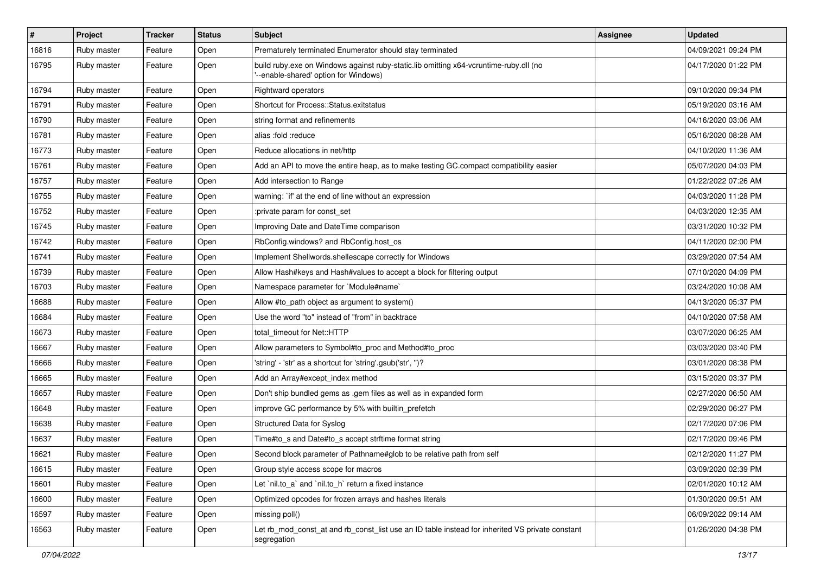| $\vert$ # | Project     | <b>Tracker</b> | <b>Status</b> | Subject                                                                                                                        | Assignee | <b>Updated</b>      |
|-----------|-------------|----------------|---------------|--------------------------------------------------------------------------------------------------------------------------------|----------|---------------------|
| 16816     | Ruby master | Feature        | Open          | Prematurely terminated Enumerator should stay terminated                                                                       |          | 04/09/2021 09:24 PM |
| 16795     | Ruby master | Feature        | Open          | build ruby.exe on Windows against ruby-static.lib omitting x64-vcruntime-ruby.dll (no<br>'--enable-shared' option for Windows) |          | 04/17/2020 01:22 PM |
| 16794     | Ruby master | Feature        | Open          | <b>Rightward operators</b>                                                                                                     |          | 09/10/2020 09:34 PM |
| 16791     | Ruby master | Feature        | Open          | Shortcut for Process::Status.exitstatus                                                                                        |          | 05/19/2020 03:16 AM |
| 16790     | Ruby master | Feature        | Open          | string format and refinements                                                                                                  |          | 04/16/2020 03:06 AM |
| 16781     | Ruby master | Feature        | Open          | alias :fold :reduce                                                                                                            |          | 05/16/2020 08:28 AM |
| 16773     | Ruby master | Feature        | Open          | Reduce allocations in net/http                                                                                                 |          | 04/10/2020 11:36 AM |
| 16761     | Ruby master | Feature        | Open          | Add an API to move the entire heap, as to make testing GC.compact compatibility easier                                         |          | 05/07/2020 04:03 PM |
| 16757     | Ruby master | Feature        | Open          | Add intersection to Range                                                                                                      |          | 01/22/2022 07:26 AM |
| 16755     | Ruby master | Feature        | Open          | warning: `if' at the end of line without an expression                                                                         |          | 04/03/2020 11:28 PM |
| 16752     | Ruby master | Feature        | Open          | :private param for const_set                                                                                                   |          | 04/03/2020 12:35 AM |
| 16745     | Ruby master | Feature        | Open          | Improving Date and DateTime comparison                                                                                         |          | 03/31/2020 10:32 PM |
| 16742     | Ruby master | Feature        | Open          | RbConfig.windows? and RbConfig.host_os                                                                                         |          | 04/11/2020 02:00 PM |
| 16741     | Ruby master | Feature        | Open          | Implement Shellwords.shellescape correctly for Windows                                                                         |          | 03/29/2020 07:54 AM |
| 16739     | Ruby master | Feature        | Open          | Allow Hash#keys and Hash#values to accept a block for filtering output                                                         |          | 07/10/2020 04:09 PM |
| 16703     | Ruby master | Feature        | Open          | Namespace parameter for `Module#name`                                                                                          |          | 03/24/2020 10:08 AM |
| 16688     | Ruby master | Feature        | Open          | Allow #to_path object as argument to system()                                                                                  |          | 04/13/2020 05:37 PM |
| 16684     | Ruby master | Feature        | Open          | Use the word "to" instead of "from" in backtrace                                                                               |          | 04/10/2020 07:58 AM |
| 16673     | Ruby master | Feature        | Open          | total timeout for Net::HTTP                                                                                                    |          | 03/07/2020 06:25 AM |
| 16667     | Ruby master | Feature        | Open          | Allow parameters to Symbol#to proc and Method#to proc                                                                          |          | 03/03/2020 03:40 PM |
| 16666     | Ruby master | Feature        | Open          | 'string' - 'str' as a shortcut for 'string'.gsub('str', ")?                                                                    |          | 03/01/2020 08:38 PM |
| 16665     | Ruby master | Feature        | Open          | Add an Array#except_index method                                                                                               |          | 03/15/2020 03:37 PM |
| 16657     | Ruby master | Feature        | Open          | Don't ship bundled gems as .gem files as well as in expanded form                                                              |          | 02/27/2020 06:50 AM |
| 16648     | Ruby master | Feature        | Open          | improve GC performance by 5% with builtin_prefetch                                                                             |          | 02/29/2020 06:27 PM |
| 16638     | Ruby master | Feature        | Open          | Structured Data for Syslog                                                                                                     |          | 02/17/2020 07:06 PM |
| 16637     | Ruby master | Feature        | Open          | Time#to_s and Date#to_s accept strftime format string                                                                          |          | 02/17/2020 09:46 PM |
| 16621     | Ruby master | Feature        | Open          | Second block parameter of Pathname#glob to be relative path from self                                                          |          | 02/12/2020 11:27 PM |
| 16615     | Ruby master | Feature        | Open          | Group style access scope for macros                                                                                            |          | 03/09/2020 02:39 PM |
| 16601     | Ruby master | Feature        | Open          | Let `nil.to_a` and `nil.to_h` return a fixed instance                                                                          |          | 02/01/2020 10:12 AM |
| 16600     | Ruby master | Feature        | Open          | Optimized opcodes for frozen arrays and hashes literals                                                                        |          | 01/30/2020 09:51 AM |
| 16597     | Ruby master | Feature        | Open          | missing poll()                                                                                                                 |          | 06/09/2022 09:14 AM |
| 16563     | Ruby master | Feature        | Open          | Let rb_mod_const_at and rb_const_list use an ID table instead for inherited VS private constant<br>segregation                 |          | 01/26/2020 04:38 PM |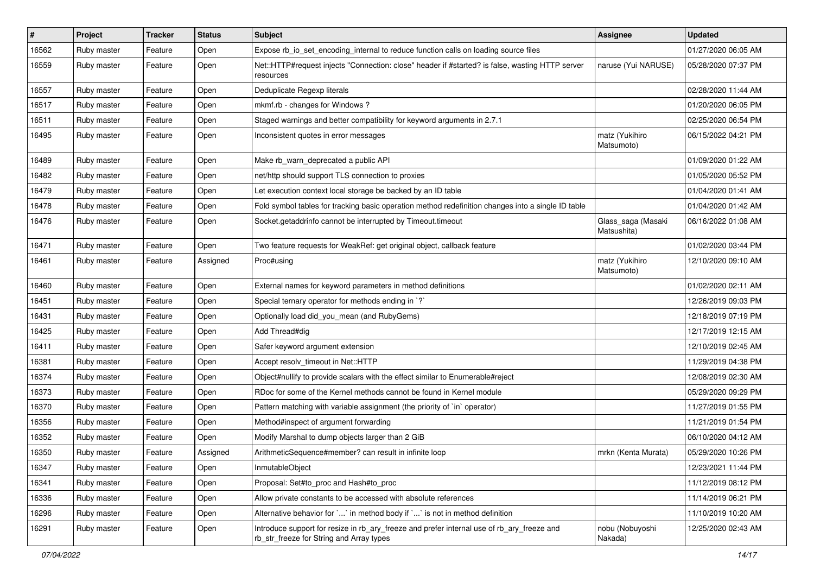| #     | Project     | <b>Tracker</b> | <b>Status</b> | <b>Subject</b>                                                                                                                         | <b>Assignee</b>                   | <b>Updated</b>      |
|-------|-------------|----------------|---------------|----------------------------------------------------------------------------------------------------------------------------------------|-----------------------------------|---------------------|
| 16562 | Ruby master | Feature        | Open          | Expose rb_io_set_encoding_internal to reduce function calls on loading source files                                                    |                                   | 01/27/2020 06:05 AM |
| 16559 | Ruby master | Feature        | Open          | Net::HTTP#request injects "Connection: close" header if #started? is false, wasting HTTP server<br>resources                           | naruse (Yui NARUSE)               | 05/28/2020 07:37 PM |
| 16557 | Ruby master | Feature        | Open          | Deduplicate Regexp literals                                                                                                            |                                   | 02/28/2020 11:44 AM |
| 16517 | Ruby master | Feature        | Open          | mkmf.rb - changes for Windows?                                                                                                         |                                   | 01/20/2020 06:05 PM |
| 16511 | Ruby master | Feature        | Open          | Staged warnings and better compatibility for keyword arguments in 2.7.1                                                                |                                   | 02/25/2020 06:54 PM |
| 16495 | Ruby master | Feature        | Open          | Inconsistent quotes in error messages                                                                                                  | matz (Yukihiro<br>Matsumoto)      | 06/15/2022 04:21 PM |
| 16489 | Ruby master | Feature        | Open          | Make rb_warn_deprecated a public API                                                                                                   |                                   | 01/09/2020 01:22 AM |
| 16482 | Ruby master | Feature        | Open          | net/http should support TLS connection to proxies                                                                                      |                                   | 01/05/2020 05:52 PM |
| 16479 | Ruby master | Feature        | Open          | Let execution context local storage be backed by an ID table                                                                           |                                   | 01/04/2020 01:41 AM |
| 16478 | Ruby master | Feature        | Open          | Fold symbol tables for tracking basic operation method redefinition changes into a single ID table                                     |                                   | 01/04/2020 01:42 AM |
| 16476 | Ruby master | Feature        | Open          | Socket.getaddrinfo cannot be interrupted by Timeout.timeout                                                                            | Glass_saga (Masaki<br>Matsushita) | 06/16/2022 01:08 AM |
| 16471 | Ruby master | Feature        | Open          | Two feature requests for WeakRef: get original object, callback feature                                                                |                                   | 01/02/2020 03:44 PM |
| 16461 | Ruby master | Feature        | Assigned      | Proc#using                                                                                                                             | matz (Yukihiro<br>Matsumoto)      | 12/10/2020 09:10 AM |
| 16460 | Ruby master | Feature        | Open          | External names for keyword parameters in method definitions                                                                            |                                   | 01/02/2020 02:11 AM |
| 16451 | Ruby master | Feature        | Open          | Special ternary operator for methods ending in `?`                                                                                     |                                   | 12/26/2019 09:03 PM |
| 16431 | Ruby master | Feature        | Open          | Optionally load did_you_mean (and RubyGems)                                                                                            |                                   | 12/18/2019 07:19 PM |
| 16425 | Ruby master | Feature        | Open          | Add Thread#dig                                                                                                                         |                                   | 12/17/2019 12:15 AM |
| 16411 | Ruby master | Feature        | Open          | Safer keyword argument extension                                                                                                       |                                   | 12/10/2019 02:45 AM |
| 16381 | Ruby master | Feature        | Open          | Accept resolv_timeout in Net::HTTP                                                                                                     |                                   | 11/29/2019 04:38 PM |
| 16374 | Ruby master | Feature        | Open          | Object#nullify to provide scalars with the effect similar to Enumerable#reject                                                         |                                   | 12/08/2019 02:30 AM |
| 16373 | Ruby master | Feature        | Open          | RDoc for some of the Kernel methods cannot be found in Kernel module                                                                   |                                   | 05/29/2020 09:29 PM |
| 16370 | Ruby master | Feature        | Open          | Pattern matching with variable assignment (the priority of `in` operator)                                                              |                                   | 11/27/2019 01:55 PM |
| 16356 | Ruby master | Feature        | Open          | Method#inspect of argument forwarding                                                                                                  |                                   | 11/21/2019 01:54 PM |
| 16352 | Ruby master | Feature        | Open          | Modify Marshal to dump objects larger than 2 GiB                                                                                       |                                   | 06/10/2020 04:12 AM |
| 16350 | Ruby master | Feature        | Assigned      | ArithmeticSequence#member? can result in infinite loop                                                                                 | mrkn (Kenta Murata)               | 05/29/2020 10:26 PM |
| 16347 | Ruby master | Feature        | Open          | InmutableObject                                                                                                                        |                                   | 12/23/2021 11:44 PM |
| 16341 | Ruby master | Feature        | Open          | Proposal: Set#to_proc and Hash#to_proc                                                                                                 |                                   | 11/12/2019 08:12 PM |
| 16336 | Ruby master | Feature        | Open          | Allow private constants to be accessed with absolute references                                                                        |                                   | 11/14/2019 06:21 PM |
| 16296 | Ruby master | Feature        | Open          | Alternative behavior for `` in method body if `` is not in method definition                                                           |                                   | 11/10/2019 10:20 AM |
| 16291 | Ruby master | Feature        | Open          | Introduce support for resize in rb_ary_freeze and prefer internal use of rb_ary_freeze and<br>rb_str_freeze for String and Array types | nobu (Nobuyoshi<br>Nakada)        | 12/25/2020 02:43 AM |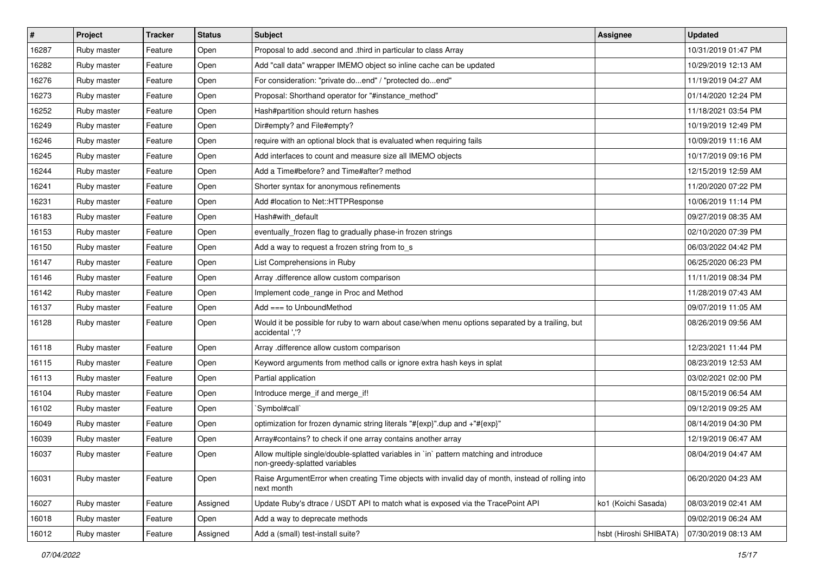| #     | Project     | <b>Tracker</b> | <b>Status</b> | Subject                                                                                                                 | <b>Assignee</b>        | <b>Updated</b>      |
|-------|-------------|----------------|---------------|-------------------------------------------------------------------------------------------------------------------------|------------------------|---------------------|
| 16287 | Ruby master | Feature        | Open          | Proposal to add .second and .third in particular to class Array                                                         |                        | 10/31/2019 01:47 PM |
| 16282 | Ruby master | Feature        | Open          | Add "call data" wrapper IMEMO object so inline cache can be updated                                                     |                        | 10/29/2019 12:13 AM |
| 16276 | Ruby master | Feature        | Open          | For consideration: "private doend" / "protected doend"                                                                  |                        | 11/19/2019 04:27 AM |
| 16273 | Ruby master | Feature        | Open          | Proposal: Shorthand operator for "#instance_method"                                                                     |                        | 01/14/2020 12:24 PM |
| 16252 | Ruby master | Feature        | Open          | Hash#partition should return hashes                                                                                     |                        | 11/18/2021 03:54 PM |
| 16249 | Ruby master | Feature        | Open          | Dir#empty? and File#empty?                                                                                              |                        | 10/19/2019 12:49 PM |
| 16246 | Ruby master | Feature        | Open          | require with an optional block that is evaluated when requiring fails                                                   |                        | 10/09/2019 11:16 AM |
| 16245 | Ruby master | Feature        | Open          | Add interfaces to count and measure size all IMEMO objects                                                              |                        | 10/17/2019 09:16 PM |
| 16244 | Ruby master | Feature        | Open          | Add a Time#before? and Time#after? method                                                                               |                        | 12/15/2019 12:59 AM |
| 16241 | Ruby master | Feature        | Open          | Shorter syntax for anonymous refinements                                                                                |                        | 11/20/2020 07:22 PM |
| 16231 | Ruby master | Feature        | Open          | Add #location to Net::HTTPResponse                                                                                      |                        | 10/06/2019 11:14 PM |
| 16183 | Ruby master | Feature        | Open          | Hash#with default                                                                                                       |                        | 09/27/2019 08:35 AM |
| 16153 | Ruby master | Feature        | Open          | eventually_frozen flag to gradually phase-in frozen strings                                                             |                        | 02/10/2020 07:39 PM |
| 16150 | Ruby master | Feature        | Open          | Add a way to request a frozen string from to_s                                                                          |                        | 06/03/2022 04:42 PM |
| 16147 | Ruby master | Feature        | Open          | List Comprehensions in Ruby                                                                                             |                        | 06/25/2020 06:23 PM |
| 16146 | Ruby master | Feature        | Open          | Array .difference allow custom comparison                                                                               |                        | 11/11/2019 08:34 PM |
| 16142 | Ruby master | Feature        | Open          | Implement code_range in Proc and Method                                                                                 |                        | 11/28/2019 07:43 AM |
| 16137 | Ruby master | Feature        | Open          | Add === to UnboundMethod                                                                                                |                        | 09/07/2019 11:05 AM |
| 16128 | Ruby master | Feature        | Open          | Would it be possible for ruby to warn about case/when menu options separated by a trailing, but<br>accidental ','?      |                        | 08/26/2019 09:56 AM |
| 16118 | Ruby master | Feature        | Open          | Array .difference allow custom comparison                                                                               |                        | 12/23/2021 11:44 PM |
| 16115 | Ruby master | Feature        | Open          | Keyword arguments from method calls or ignore extra hash keys in splat                                                  |                        | 08/23/2019 12:53 AM |
| 16113 | Ruby master | Feature        | Open          | Partial application                                                                                                     |                        | 03/02/2021 02:00 PM |
| 16104 | Ruby master | Feature        | Open          | Introduce merge_if and merge_if!                                                                                        |                        | 08/15/2019 06:54 AM |
| 16102 | Ruby master | Feature        | Open          | 'Symbol#call'                                                                                                           |                        | 09/12/2019 09:25 AM |
| 16049 | Ruby master | Feature        | Open          | optimization for frozen dynamic string literals "#{exp}".dup and +"#{exp}"                                              |                        | 08/14/2019 04:30 PM |
| 16039 | Ruby master | Feature        | Open          | Array#contains? to check if one array contains another array                                                            |                        | 12/19/2019 06:47 AM |
| 16037 | Ruby master | Feature        | Open          | Allow multiple single/double-splatted variables in `in` pattern matching and introduce<br>non-greedy-splatted variables |                        | 08/04/2019 04:47 AM |
| 16031 | Ruby master | Feature        | Open          | Raise ArgumentError when creating Time objects with invalid day of month, instead of rolling into<br>next month         |                        | 06/20/2020 04:23 AM |
| 16027 | Ruby master | Feature        | Assigned      | Update Ruby's dtrace / USDT API to match what is exposed via the TracePoint API                                         | ko1 (Koichi Sasada)    | 08/03/2019 02:41 AM |
| 16018 | Ruby master | Feature        | Open          | Add a way to deprecate methods                                                                                          |                        | 09/02/2019 06:24 AM |
| 16012 | Ruby master | Feature        | Assigned      | Add a (small) test-install suite?                                                                                       | hsbt (Hiroshi SHIBATA) | 07/30/2019 08:13 AM |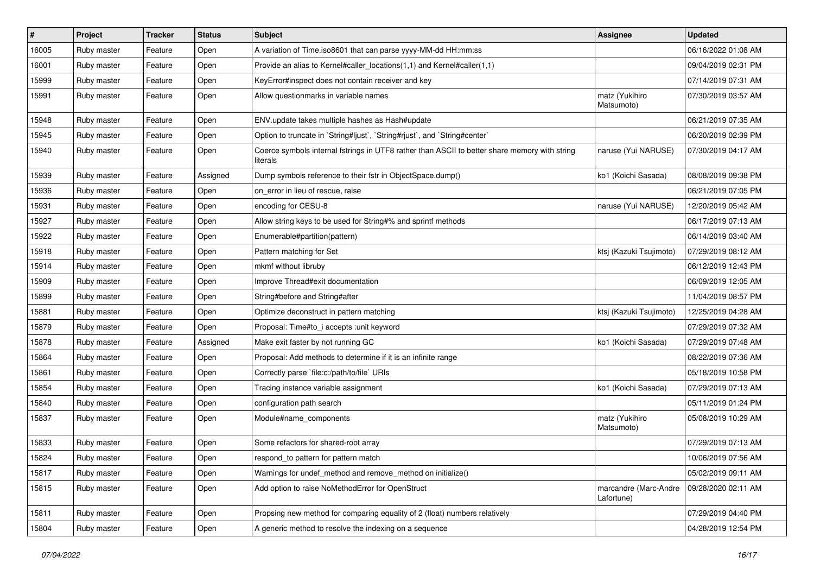| #     | Project     | <b>Tracker</b> | <b>Status</b> | <b>Subject</b>                                                                                            | <b>Assignee</b>                     | <b>Updated</b>      |
|-------|-------------|----------------|---------------|-----------------------------------------------------------------------------------------------------------|-------------------------------------|---------------------|
| 16005 | Ruby master | Feature        | Open          | A variation of Time.iso8601 that can parse yyyy-MM-dd HH:mm:ss                                            |                                     | 06/16/2022 01:08 AM |
| 16001 | Ruby master | Feature        | Open          | Provide an alias to Kernel#caller_locations(1,1) and Kernel#caller(1,1)                                   |                                     | 09/04/2019 02:31 PM |
| 15999 | Ruby master | Feature        | Open          | KeyError#inspect does not contain receiver and key                                                        |                                     | 07/14/2019 07:31 AM |
| 15991 | Ruby master | Feature        | Open          | Allow questionmarks in variable names                                                                     | matz (Yukihiro<br>Matsumoto)        | 07/30/2019 03:57 AM |
| 15948 | Ruby master | Feature        | Open          | ENV.update takes multiple hashes as Hash#update                                                           |                                     | 06/21/2019 07:35 AM |
| 15945 | Ruby master | Feature        | Open          | Option to truncate in `String#ljust`, `String#rjust`, and `String#center`                                 |                                     | 06/20/2019 02:39 PM |
| 15940 | Ruby master | Feature        | Open          | Coerce symbols internal fstrings in UTF8 rather than ASCII to better share memory with string<br>literals | naruse (Yui NARUSE)                 | 07/30/2019 04:17 AM |
| 15939 | Ruby master | Feature        | Assigned      | Dump symbols reference to their fstr in ObjectSpace.dump()                                                | ko1 (Koichi Sasada)                 | 08/08/2019 09:38 PM |
| 15936 | Ruby master | Feature        | Open          | on error in lieu of rescue, raise                                                                         |                                     | 06/21/2019 07:05 PM |
| 15931 | Ruby master | Feature        | Open          | encoding for CESU-8                                                                                       | naruse (Yui NARUSE)                 | 12/20/2019 05:42 AM |
| 15927 | Ruby master | Feature        | Open          | Allow string keys to be used for String#% and sprintf methods                                             |                                     | 06/17/2019 07:13 AM |
| 15922 | Ruby master | Feature        | Open          | Enumerable#partition(pattern)                                                                             |                                     | 06/14/2019 03:40 AM |
| 15918 | Ruby master | Feature        | Open          | Pattern matching for Set                                                                                  | ktsj (Kazuki Tsujimoto)             | 07/29/2019 08:12 AM |
| 15914 | Ruby master | Feature        | Open          | mkmf without libruby                                                                                      |                                     | 06/12/2019 12:43 PM |
| 15909 | Ruby master | Feature        | Open          | Improve Thread#exit documentation                                                                         |                                     | 06/09/2019 12:05 AM |
| 15899 | Ruby master | Feature        | Open          | String#before and String#after                                                                            |                                     | 11/04/2019 08:57 PM |
| 15881 | Ruby master | Feature        | Open          | Optimize deconstruct in pattern matching                                                                  | ktsj (Kazuki Tsujimoto)             | 12/25/2019 04:28 AM |
| 15879 | Ruby master | Feature        | Open          | Proposal: Time#to_i accepts : unit keyword                                                                |                                     | 07/29/2019 07:32 AM |
| 15878 | Ruby master | Feature        | Assigned      | Make exit faster by not running GC                                                                        | ko1 (Koichi Sasada)                 | 07/29/2019 07:48 AM |
| 15864 | Ruby master | Feature        | Open          | Proposal: Add methods to determine if it is an infinite range                                             |                                     | 08/22/2019 07:36 AM |
| 15861 | Ruby master | Feature        | Open          | Correctly parse `file:c:/path/to/file` URIs                                                               |                                     | 05/18/2019 10:58 PM |
| 15854 | Ruby master | Feature        | Open          | Tracing instance variable assignment                                                                      | ko1 (Koichi Sasada)                 | 07/29/2019 07:13 AM |
| 15840 | Ruby master | Feature        | Open          | configuration path search                                                                                 |                                     | 05/11/2019 01:24 PM |
| 15837 | Ruby master | Feature        | Open          | Module#name_components                                                                                    | matz (Yukihiro<br>Matsumoto)        | 05/08/2019 10:29 AM |
| 15833 | Ruby master | Feature        | Open          | Some refactors for shared-root array                                                                      |                                     | 07/29/2019 07:13 AM |
| 15824 | Ruby master | Feature        | Open          | respond_to pattern for pattern match                                                                      |                                     | 10/06/2019 07:56 AM |
| 15817 | Ruby master | Feature        | Open          | Warnings for undef_method and remove_method on initialize()                                               |                                     | 05/02/2019 09:11 AM |
| 15815 | Ruby master | Feature        | Open          | Add option to raise NoMethodError for OpenStruct                                                          | marcandre (Marc-Andre<br>Lafortune) | 09/28/2020 02:11 AM |
| 15811 | Ruby master | Feature        | Open          | Propsing new method for comparing equality of 2 (float) numbers relatively                                |                                     | 07/29/2019 04:40 PM |
| 15804 | Ruby master | Feature        | Open          | A generic method to resolve the indexing on a sequence                                                    |                                     | 04/28/2019 12:54 PM |